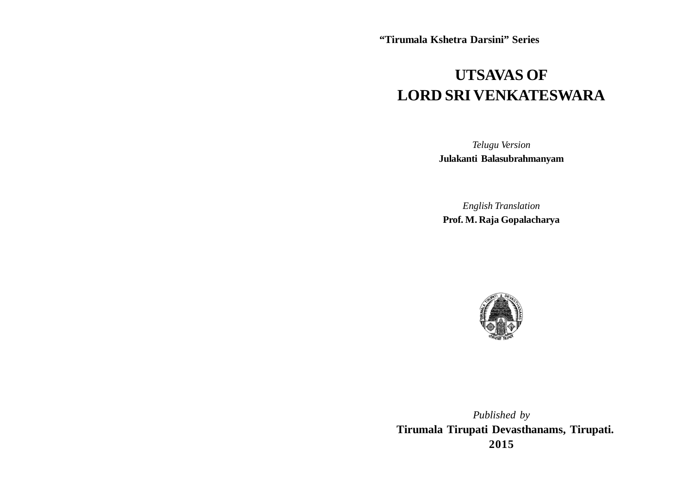**"Tirumala Kshetra Darsini" Series**

# **UTSAVAS OF LORD SRI VENKATESWARA**

*Telugu Version* **Julakanti Balasubrahmanyam**

*English Translation* **Prof. M. Raja Gopalacharya**



*Published by*  **Tirumala Tirupati Devasthanams, Tirupati. 2015**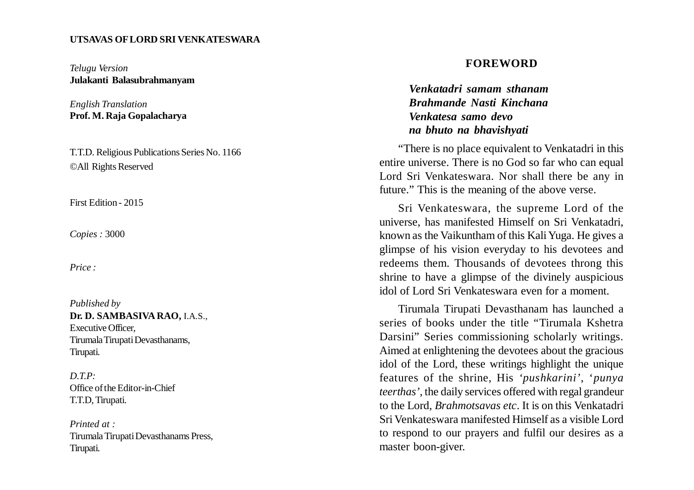#### **UTSAVAS OF LORD SRI VENKATESWARA**

*Telugu Version* **Julakanti Balasubrahmanyam**

*English Translation* **Prof. M. Raja Gopalacharya**

T.T.D. Religious Publications Series No. 1166 ©All Rights Reserved

First Edition - 2015

*Copies :* 3000

*Price :*

*Published by* **Dr. D. SAMBASIVA RAO ,** I.A.S., Executive Officer, Tirumala Tirupati Devasthanams, Tirupati.

*D.T.P:* Office of the Editor-in-Chief T.T.D, Tirupati.

*Printed at :* Tirumala Tirupati Devasthanams Press, Tirupati.

#### **FOREWORD**

*Venkatadri samam sthanam Brahmande Nasti Kinchana Venkatesa samo devo na bhuto na bhavishyati*

"There is no place equivalent to Venkatadri in this entire universe. There is no God so far who can equal Lord Sri Venkateswara. Nor shall there be any in future." This is the meaning of the above verse.

Sri Venkateswara, the supreme Lord of the universe, has manifested Himself on Sri Venkatadri, known as the Vaikuntham of this Kali Yuga. He gives a glimpse of his vision everyday to his devotees and redeems them. Thousands of devotees throng this shrine to have a glimpse of the divinely auspicious idol of Lord Sri Venkateswara even for a moment.

Tirumala Tirupati Devasthanam has launched a series of books under the title "Tirumala Kshetra Darsini" Series commissioning scholarly writings. Aimed at enlightening the devotees about the gracious idol of the Lord, these writings highlight the unique features of the shrine, His *'pushkarini'*, '*punya teerthas'*, the daily services offered with regal grandeur to the Lord, *Brahmotsavas etc*. It is on this Venkatadri Sri Venkateswara manifested Himself as a visible Lord to respond to our prayers and fulfil our desires as a master boon-giver.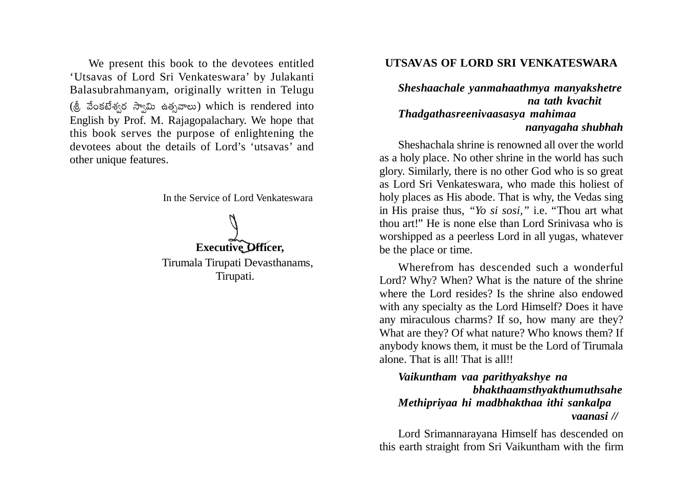We present this book to the devotees entitled 'Utsavas of Lord Sri Venkateswara' by Julakanti Balasubrahmanyam, originally written in Telugu (శ్రీ వేంకటేశ్వర స్వామి ఉత్సవాలు) which is rendered into English by Prof. M. Rajagopalachary. We hope that this book serves the purpose of enlightening the devotees about the details of Lord's 'utsavas' and other unique features.

#### In the Service of Lord Venkateswara

 **Executive Officer,** Tirumala Tirupati Devasthanams, Tirupati.

#### **UTSAVAS OF LORD SRI VENKATESWARA**

*Sheshaachale yanmahaathmya manyakshetre na tath kvachit Thadgathasreenivaasasya mahimaa nanyagaha shubhah*

Sheshachala shrine is renowned all over the world as a holy place. No other shrine in the world has such glory. Similarly, there is no other God who is so great as Lord Sri Venkateswara, who made this holiest of holy places as His abode. That is why, the Vedas sing in His praise thus, *"Yo si sosi,"* i.e. "Thou art what thou art!" He is none else than Lord Srinivasa who is worshipped as a peerless Lord in all yugas, whatever be the place or time.

Wherefrom has descended such a wonderful Lord? Why? When? What is the nature of the shrine where the Lord resides? Is the shrine also endowed with any specialty as the Lord Himself? Does it have any miraculous charms? If so, how many are they? What are they? Of what nature? Who knows them? If anybody knows them, it must be the Lord of Tirumala alone. That is all! That is all!!

*Vaikuntham vaa parithyakshye na bhakthaamsthyakthumuthsahe Methipriyaa hi madbhakthaa ithi sankalpa vaanasi //*

Lord Srimannarayana Himself has descended on this earth straight from Sri Vaikuntham with the firm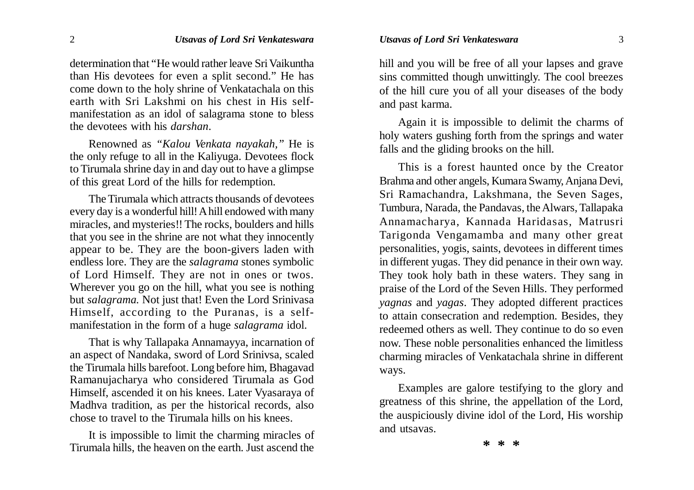determination that "He would rather leave Sri Vaikuntha than His devotees for even a split second." He has come down to the holy shrine of Venkatachala on this earth with Sri Lakshmi on his chest in His selfmanifestation as an idol of salagrama stone to bless the devotees with his *darshan*.

Renowned as *"Kalou Venkata nayakah,"* He is the only refuge to all in the Kaliyuga. Devotees flock to Tirumala shrine day in and day out to have a glimpse of this great Lord of the hills for redemption.

The Tirumala which attracts thousands of devotees every day is a wonderful hill! A hill endowed with many miracles, and mysteries!! The rocks, boulders and hills that you see in the shrine are not what they innocently appear to be. They are the boon-givers laden with endless lore. They are the *salagrama* stones symbolic of Lord Himself. They are not in ones or twos. Wherever you go on the hill, what you see is nothing but *salagrama.* Not just that! Even the Lord Srinivasa Himself, according to the Puranas, is a selfmanifestation in the form of a huge *salagrama* idol.

That is why Tallapaka Annamayya, incarnation of an aspect of Nandaka, sword of Lord Srinivsa, scaled the Tirumala hills barefoot. Long before him, Bhagavad Ramanujacharya who considered Tirumala as God Himself, ascended it on his knees. Later Vyasaraya of Madhva tradition, as per the historical records, also chose to travel to the Tirumala hills on his knees.

It is impossible to limit the charming miracles of Tirumala hills, the heaven on the earth. Just ascend the

hill and you will be free of all your lapses and grave sins committed though unwittingly. The cool breezes of the hill cure you of all your diseases of the body and past karma.

Again it is impossible to delimit the charms of holy waters gushing forth from the springs and water falls and the gliding brooks on the hill.

This is a forest haunted once by the Creator Brahma and other angels, Kumara Swamy, Anjana Devi, Sri Ramachandra, Lakshmana, the Seven Sages, Tumbura, Narada, the Pandavas, the Alwars, Tallapaka Annamacharya, Kannada Haridasas, Matrusri Tarigonda Vengamamba and many other great personalities, yogis, saints, devotees in different times in different yugas. They did penance in their own way. They took holy bath in these waters. They sang in praise of the Lord of the Seven Hills. They performed *yagnas* and *yagas*. They adopted different practices to attain consecration and redemption. Besides, they redeemed others as well. They continue to do so even now. These noble personalities enhanced the limitless charming miracles of Venkatachala shrine in different ways.

Examples are galore testifying to the glory and greatness of this shrine, the appellation of the Lord, the auspiciously divine idol of the Lord, His worship and utsavas.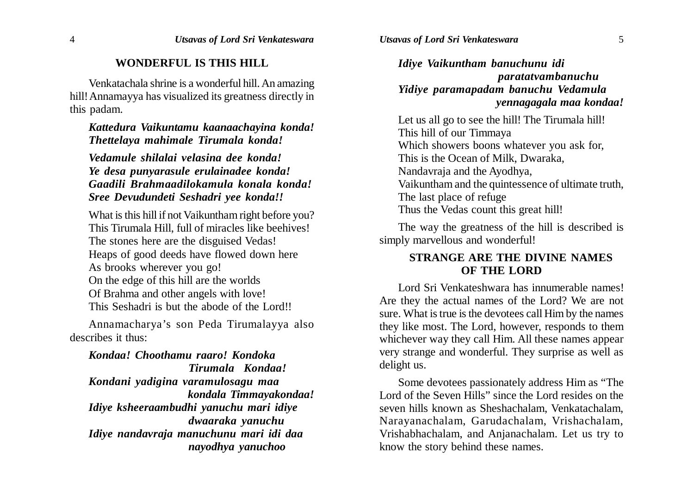# **WONDERFUL IS THIS HILL**

Venkatachala shrine is a wonderful hill. An amazing hill! Annamayya has visualized its greatness directly in this padam.

#### *Kattedura Vaikuntamu kaanaachayina konda! Thettelaya mahimale Tirumala konda!*

*Vedamule shilalai velasina dee konda! Ye desa punyarasule erulainadee konda! Gaadili Brahmaadilokamula konala konda! Sree Devudundeti Seshadri yee konda!!*

What is this hill if not Vaikuntham right before you? This Tirumala Hill, full of miracles like beehives! The stones here are the disguised Vedas! Heaps of good deeds have flowed down here As brooks wherever you go! On the edge of this hill are the worlds Of Brahma and other angels with love! This Seshadri is but the abode of the Lord!!

Annamacharya's son Peda Tirumalayya also describes it thus:

*Kondaa! Choothamu raaro! Kondoka Tirumala Kondaa! Kondani yadigina varamulosagu maa kondala Timmayakondaa! Idiye ksheeraambudhi yanuchu mari idiye dwaaraka yanuchu Idiye nandavraja manuchunu mari idi daa nayodhya yanuchoo*

*Idiye Vaikuntham banuchunu idi paratatvambanuchu Yidiye paramapadam banuchu Vedamula yennagagala maa kondaa!*

Let us all go to see the hill! The Tirumala hill! This hill of our Timmaya Which showers boons whatever you ask for, This is the Ocean of Milk, Dwaraka, Nandavraja and the Ayodhya, Vaikuntham and the quintessence of ultimate truth, The last place of refuge Thus the Vedas count this great hill!

The way the greatness of the hill is described is simply marvellous and wonderful!

### **STRANGE ARE THE DIVINE NAMES OF THE LORD**

Lord Sri Venkateshwara has innumerable names! Are they the actual names of the Lord? We are not sure. What is true is the devotees call Him by the names they like most. The Lord, however, responds to them whichever way they call Him. All these names appear very strange and wonderful. They surprise as well as delight us.

Some devotees passionately address Him as "The Lord of the Seven Hills" since the Lord resides on the seven hills known as Sheshachalam, Venkatachalam, Narayanachalam, Garudachalam, Vrishachalam, Vrishabhachalam, and Anjanachalam. Let us try to know the story behind these names.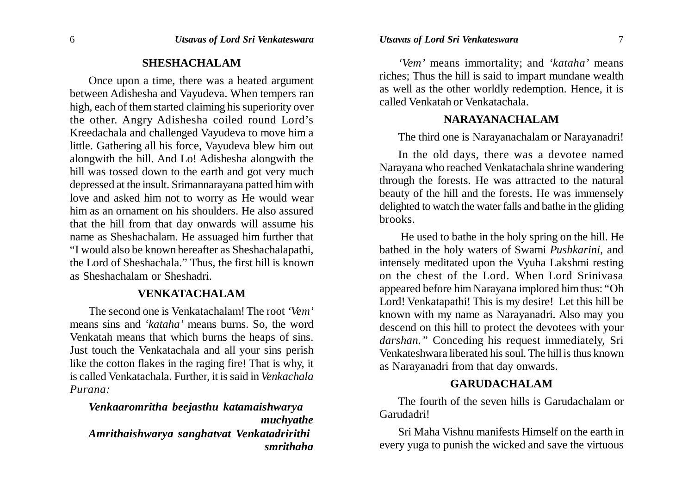### **SHESHACHALAM**

Once upon a time, there was a heated argument between Adishesha and Vayudeva. When tempers ran high, each of them started claiming his superiority over the other. Angry Adishesha coiled round Lord's Kreedachala and challenged Vayudeva to move him a little. Gathering all his force, Vayudeva blew him out alongwith the hill. And Lo! Adishesha alongwith the hill was tossed down to the earth and got very much depressed at the insult. Srimannarayana patted him with love and asked him not to worry as He would wear him as an ornament on his shoulders. He also assured that the hill from that day onwards will assume his name as Sheshachalam. He assuaged him further that "I would also be known hereafter as Sheshachalapathi, the Lord of Sheshachala." Thus, the first hill is known as Sheshachalam or Sheshadri.

#### **VENKATACHALAM**

The second one is Venkatachalam! The root *'Vem'* means sins and *'kataha'* means burns. So, the word Venkatah means that which burns the heaps of sins. Just touch the Venkatachala and all your sins perish like the cotton flakes in the raging fire! That is why, it is called Venkatachala. Further, it is said in *Venkachala Purana:*

*Venkaaromritha beejasthu katamaishwarya muchyathe Amrithaishwarya sanghatvat Venkatadririthi smrithaha*

*'Vem'* means immortality; and *'kataha'* means riches; Thus the hill is said to impart mundane wealth as well as the other worldly redemption. Hence, it is

called Venkatah or Venkatachala.

#### **NARAYANACHALAM**

#### The third one is Narayanachalam or Narayanadri!

In the old days, there was a devotee named Narayana who reached Venkatachala shrine wandering through the forests. He was attracted to the natural beauty of the hill and the forests. He was immensely delighted to watch the water falls and bathe in the gliding brooks.

 He used to bathe in the holy spring on the hill. He bathed in the holy waters of Swami *Pushkarini,* and intensely meditated upon the Vyuha Lakshmi resting on the chest of the Lord. When Lord Srinivasa appeared before him Narayana implored him thus: "Oh Lord! Venkatapathi! This is my desire! Let this hill be known with my name as Narayanadri. Also may you descend on this hill to protect the devotees with your *darshan."* Conceding his request immediately, Sri Venkateshwara liberated his soul. The hill is thus known as Narayanadri from that day onwards.

#### **GARUDACHALAM**

The fourth of the seven hills is Garudachalam or Garudadri!

Sri Maha Vishnu manifests Himself on the earth in every yuga to punish the wicked and save the virtuous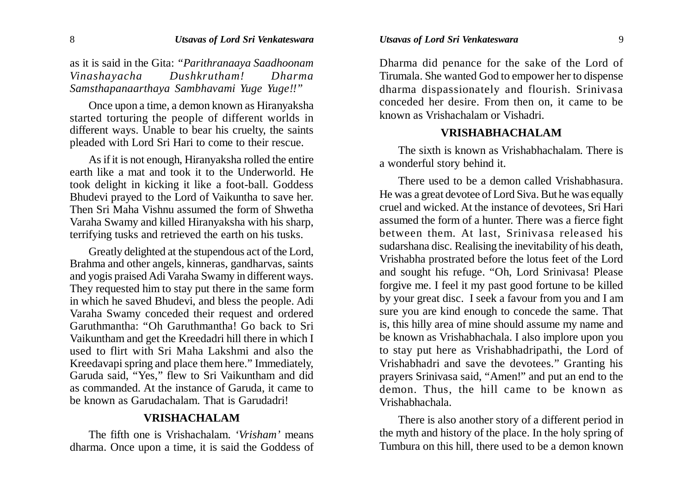as it is said in the Gita: *"Parithranaaya Saadhoonam Vinashayacha Dushkrutham! Dharma Samsthapanaarthaya Sambhavami Yuge Yuge!!"*

Once upon a time, a demon known as Hiranyaksha started torturing the people of different worlds in different ways. Unable to bear his cruelty, the saints pleaded with Lord Sri Hari to come to their rescue.

As if it is not enough, Hiranyaksha rolled the entire earth like a mat and took it to the Underworld. He took delight in kicking it like a foot-ball. Goddess Bhudevi prayed to the Lord of Vaikuntha to save her. Then Sri Maha Vishnu assumed the form of Shwetha Varaha Swamy and killed Hiranyaksha with his sharp, terrifying tusks and retrieved the earth on his tusks.

Greatly delighted at the stupendous act of the Lord, Brahma and other angels, kinneras, gandharvas, saints and yogis praised Adi Varaha Swamy in different ways. They requested him to stay put there in the same form in which he saved Bhudevi, and bless the people. Adi Varaha Swamy conceded their request and ordered Garuthmantha: "Oh Garuthmantha! Go back to Sri Vaikuntham and get the Kreedadri hill there in which I used to flirt with Sri Maha Lakshmi and also the Kreedavapi spring and place them here." Immediately, Garuda said, "Yes," flew to Sri Vaikuntham and did as commanded. At the instance of Garuda, it came to be known as Garudachalam. That is Garudadri!

# **VRISHACHALAM**

The fifth one is Vrishachalam. *'Vrisham'* means dharma. Once upon a time, it is said the Goddess of Dharma did penance for the sake of the Lord of Tirumala. She wanted God to empower her to dispense dharma dispassionately and flourish. Srinivasa conceded her desire. From then on, it came to be known as Vrishachalam or Vishadri.

#### **VRISHABHACHALAM**

The sixth is known as Vrishabhachalam. There is a wonderful story behind it.

There used to be a demon called Vrishabhasura. He was a great devotee of Lord Siva. But he was equally cruel and wicked. At the instance of devotees, Sri Hari assumed the form of a hunter. There was a fierce fight between them. At last, Srinivasa released his sudarshana disc. Realising the inevitability of his death, Vrishabha prostrated before the lotus feet of the Lord and sought his refuge. "Oh, Lord Srinivasa! Please forgive me. I feel it my past good fortune to be killed by your great disc. I seek a favour from you and I am sure you are kind enough to concede the same. That is, this hilly area of mine should assume my name and be known as Vrishabhachala. I also implore upon you to stay put here as Vrishabhadripathi, the Lord of Vrishabhadri and save the devotees." Granting his prayers Srinivasa said, "Amen!" and put an end to the demon. Thus, the hill came to be known as Vrishabhachala.

There is also another story of a different period in the myth and history of the place. In the holy spring of Tumbura on this hill, there used to be a demon known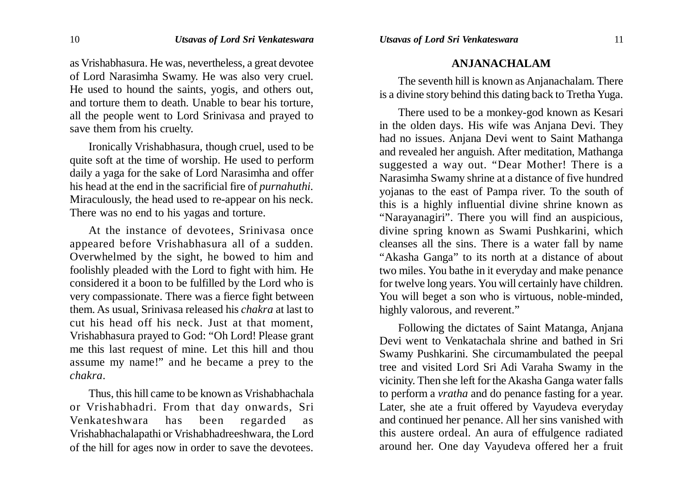as Vrishabhasura. He was, nevertheless, a great devotee of Lord Narasimha Swamy. He was also very cruel. He used to hound the saints, yogis, and others out, and torture them to death. Unable to bear his torture, all the people went to Lord Srinivasa and prayed to save them from his cruelty.

Ironically Vrishabhasura, though cruel, used to be quite soft at the time of worship. He used to perform daily a yaga for the sake of Lord Narasimha and offer his head at the end in the sacrificial fire of *purnahuthi.* Miraculously, the head used to re-appear on his neck. There was no end to his yagas and torture.

At the instance of devotees, Srinivasa once appeared before Vrishabhasura all of a sudden. Overwhelmed by the sight, he bowed to him and foolishly pleaded with the Lord to fight with him. He considered it a boon to be fulfilled by the Lord who is very compassionate. There was a fierce fight between them. As usual, Srinivasa released his *chakra* at last to cut his head off his neck. Just at that moment, Vrishabhasura prayed to God: "Oh Lord! Please grant me this last request of mine. Let this hill and thou assume my name!" and he became a prey to the *chakra*.

Thus, this hill came to be known as Vrishabhachala or Vrishabhadri. From that day onwards, Sri Venkateshwara has been regarded as Vrishabhachalapathi or Vrishabhadreeshwara, the Lord of the hill for ages now in order to save the devotees.

#### **ANJANACHALAM**

The seventh hill is known as Anjanachalam. There is a divine story behind this dating back to Tretha Yuga.

There used to be a monkey-god known as Kesari in the olden days. His wife was Anjana Devi. They had no issues. Anjana Devi went to Saint Mathanga and revealed her anguish. After meditation, Mathanga suggested a way out. "Dear Mother! There is a Narasimha Swamy shrine at a distance of five hundred yojanas to the east of Pampa river. To the south of this is a highly influential divine shrine known as "Narayanagiri". There you will find an auspicious, divine spring known as Swami Pushkarini, which cleanses all the sins. There is a water fall by name "Akasha Ganga" to its north at a distance of about two miles. You bathe in it everyday and make penance for twelve long years. You will certainly have children. You will beget a son who is virtuous, noble-minded, highly valorous, and reverent."

Following the dictates of Saint Matanga, Anjana Devi went to Venkatachala shrine and bathed in Sri Swamy Pushkarini. She circumambulated the peepal tree and visited Lord Sri Adi Varaha Swamy in the vicinity. Then she left for the Akasha Ganga water falls to perform a *vratha* and do penance fasting for a year. Later, she ate a fruit offered by Vayudeva everyday and continued her penance. All her sins vanished with this austere ordeal. An aura of effulgence radiated around her. One day Vayudeva offered her a fruit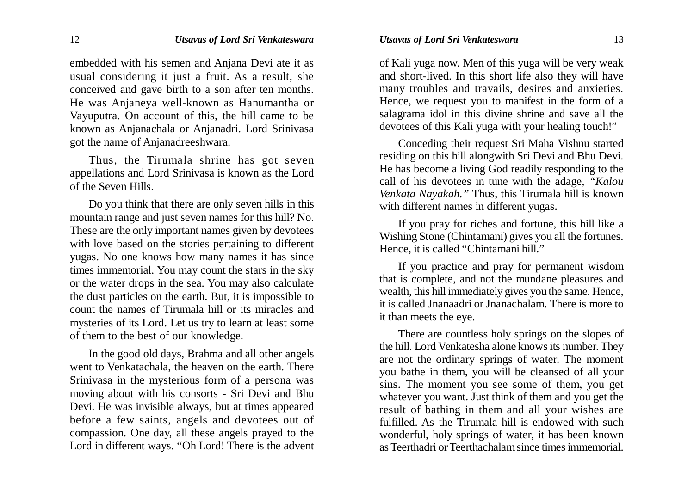embedded with his semen and Anjana Devi ate it as usual considering it just a fruit. As a result, she conceived and gave birth to a son after ten months. He was Anjaneya well-known as Hanumantha or Vayuputra. On account of this, the hill came to be known as Anjanachala or Anjanadri. Lord Srinivasa got the name of Anjanadreeshwara.

Thus, the Tirumala shrine has got seven appellations and Lord Srinivasa is known as the Lord of the Seven Hills.

Do you think that there are only seven hills in this mountain range and just seven names for this hill? No. These are the only important names given by devotees with love based on the stories pertaining to different yugas. No one knows how many names it has since times immemorial. You may count the stars in the sky or the water drops in the sea. You may also calculate the dust particles on the earth. But, it is impossible to count the names of Tirumala hill or its miracles and mysteries of its Lord. Let us try to learn at least some of them to the best of our knowledge.

In the good old days, Brahma and all other angels went to Venkatachala, the heaven on the earth. There Srinivasa in the mysterious form of a persona was moving about with his consorts - Sri Devi and Bhu Devi. He was invisible always, but at times appeared before a few saints, angels and devotees out of compassion. One day, all these angels prayed to the Lord in different ways. "Oh Lord! There is the advent

of Kali yuga now. Men of this yuga will be very weak and short-lived. In this short life also they will have many troubles and travails, desires and anxieties. Hence, we request you to manifest in the form of a salagrama idol in this divine shrine and save all the devotees of this Kali yuga with your healing touch!"

Conceding their request Sri Maha Vishnu started residing on this hill alongwith Sri Devi and Bhu Devi. He has become a living God readily responding to the call of his devotees in tune with the adage, *"Kalou Venkata Nayakah."* Thus, this Tirumala hill is known with different names in different yugas.

If you pray for riches and fortune, this hill like a Wishing Stone (Chintamani) gives you all the fortunes. Hence, it is called "Chintamani hill."

If you practice and pray for permanent wisdom that is complete, and not the mundane pleasures and wealth, this hill immediately gives you the same. Hence, it is called Jnanaadri or Jnanachalam. There is more to it than meets the eye.

There are countless holy springs on the slopes of the hill. Lord Venkatesha alone knows its number. They are not the ordinary springs of water. The moment you bathe in them, you will be cleansed of all your sins. The moment you see some of them, you get whatever you want. Just think of them and you get the result of bathing in them and all your wishes are fulfilled. As the Tirumala hill is endowed with such wonderful, holy springs of water, it has been known as Teerthadri or Teerthachalam since times immemorial.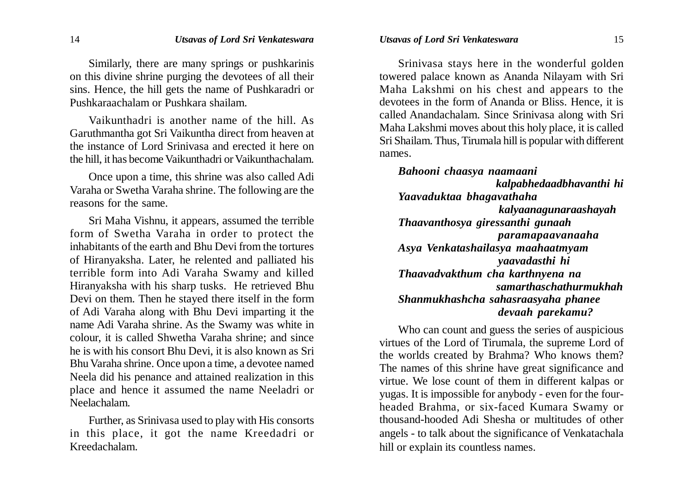Similarly, there are many springs or pushkarinis on this divine shrine purging the devotees of all their sins. Hence, the hill gets the name of Pushkaradri or Pushkaraachalam or Pushkara shailam.

Vaikunthadri is another name of the hill. As Garuthmantha got Sri Vaikuntha direct from heaven at the instance of Lord Srinivasa and erected it here on the hill, it has become Vaikunthadri or Vaikunthachalam.

Once upon a time, this shrine was also called Adi Varaha or Swetha Varaha shrine. The following are the reasons for the same.

Sri Maha Vishnu, it appears, assumed the terrible form of Swetha Varaha in order to protect the inhabitants of the earth and Bhu Devi from the tortures of Hiranyaksha. Later, he relented and palliated his terrible form into Adi Varaha Swamy and killed Hiranyaksha with his sharp tusks. He retrieved Bhu Devi on them. Then he stayed there itself in the form of Adi Varaha along with Bhu Devi imparting it the name Adi Varaha shrine. As the Swamy was white in colour, it is called Shwetha Varaha shrine; and since he is with his consort Bhu Devi, it is also known as Sri Bhu Varaha shrine. Once upon a time, a devotee named Neela did his penance and attained realization in this place and hence it assumed the name Neeladri or Neelachalam.

Further, as Srinivasa used to play with His consorts in this place, it got the name Kreedadri or Kreedachalam.

Srinivasa stays here in the wonderful golden towered palace known as Ananda Nilayam with Sri Maha Lakshmi on his chest and appears to the devotees in the form of Ananda or Bliss. Hence, it is called Anandachalam. Since Srinivasa along with Sri Maha Lakshmi moves about this holy place, it is called Sri Shailam. Thus, Tirumala hill is popular with different names.

*Bahooni chaasya naamaani kalpabhedaadbhavanthi hi Yaavaduktaa bhagavathaha kalyaanagunaraashayah Thaavanthosya giressanthi gunaah paramapaavanaaha Asya Venkatashailasya maahaatmyam yaavadasthi hi Thaavadvakthum cha karthnyena na samarthaschathurmukhah Shanmukhashcha sahasraasyaha phanee devaah parekamu?*

Who can count and guess the series of auspicious virtues of the Lord of Tirumala, the supreme Lord of the worlds created by Brahma? Who knows them? The names of this shrine have great significance and virtue. We lose count of them in different kalpas or yugas. It is impossible for anybody - even for the fourheaded Brahma, or six-faced Kumara Swamy or thousand-hooded Adi Shesha or multitudes of other angels - to talk about the significance of Venkatachala hill or explain its countless names.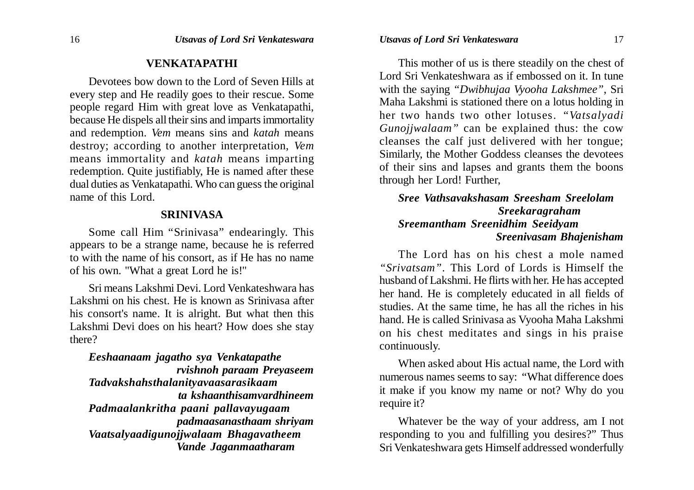#### **VENKATAPATHI**

Devotees bow down to the Lord of Seven Hills at every step and He readily goes to their rescue. Some people regard Him with great love as Venkatapathi, because He dispels all their sins and imparts immortality and redemption. *Vem* means sins and *katah* means destroy; according to another interpretation, *Vem* means immortality and *katah* means imparting redemption. Quite justifiably, He is named after these dual duties as Venkatapathi. Who can guess the original name of this Lord.

#### **SRINIVASA**

Some call Him "Srinivasa" endearingly. This appears to be a strange name, because he is referred to with the name of his consort, as if He has no name of his own. "What a great Lord he is!"

Sri means Lakshmi Devi. Lord Venkateshwara has Lakshmi on his chest. He is known as Srinivasa after his consort's name. It is alright. But what then this Lakshmi Devi does on his heart? How does she stay there?

*Eeshaanaam jagatho sya Venkatapathe rvishnoh paraam Preyaseem Tadvakshahsthalanityavaasarasikaam ta kshaanthisamvardhineem Padmaalankritha paani pallavayugaam padmaasanasthaam shriyam Vaatsalyaadigunojjwalaam Bhagavatheem Vande Jaganmaatharam*

This mother of us is there steadily on the chest of Lord Sri Venkateshwara as if embossed on it. In tune with the saying *"Dwibhujaa Vyooha Lakshmee"*, Sri Maha Lakshmi is stationed there on a lotus holding in her two hands two other lotuses. *"Vatsalyadi Gunojjwalaam"* can be explained thus: the cow cleanses the calf just delivered with her tongue; Similarly, the Mother Goddess cleanses the devotees of their sins and lapses and grants them the boons through her Lord! Further,

# *Sree Vathsavakshasam Sreesham Sreelolam Sreekaragraham Sreemantham Sreenidhim Seeidyam Sreenivasam Bhajenisham*

The Lord has on his chest a mole named *"Srivatsam"*. This Lord of Lords is Himself the husband of Lakshmi. He flirts with her. He has accepted her hand. He is completely educated in all fields of studies. At the same time, he has all the riches in his hand. He is called Srinivasa as Vyooha Maha Lakshmi on his chest meditates and sings in his praise continuously.

When asked about His actual name, the Lord with numerous names seems to say: "What difference does it make if you know my name or not? Why do you require it?

Whatever be the way of your address, am I not responding to you and fulfilling you desires?" Thus Sri Venkateshwara gets Himself addressed wonderfully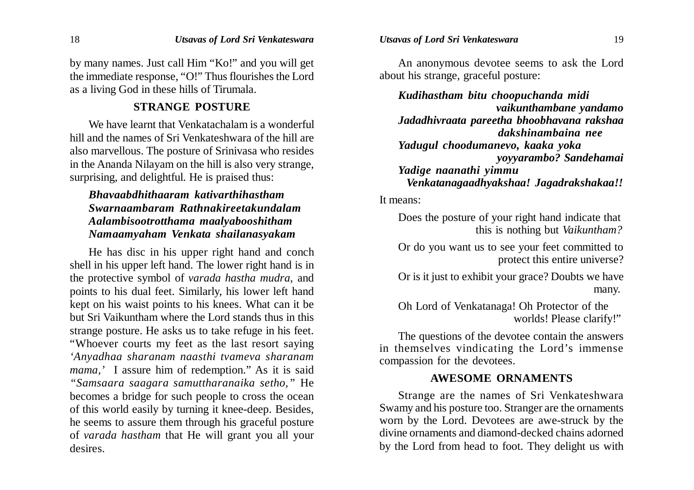by many names. Just call Him "Ko!" and you will get the immediate response, "O!" Thus flourishes the Lord as a living God in these hills of Tirumala.

### **STRANGE POSTURE**

We have learnt that Venkatachalam is a wonderful hill and the names of Sri Venkateshwara of the hill are also marvellous. The posture of Srinivasa who resides in the Ananda Nilayam on the hill is also very strange, surprising, and delightful. He is praised thus:

# *Bhavaabdhithaaram kativarthihastham Swarnaambaram Rathnakireetakundalam Aalambisootrotthama maalyabooshitham Namaamyaham Venkata shailanasyakam*

He has disc in his upper right hand and conch shell in his upper left hand. The lower right hand is in the protective symbol of *varada hastha mudra*, and points to his dual feet. Similarly, his lower left hand kept on his waist points to his knees. What can it be but Sri Vaikuntham where the Lord stands thus in this strange posture. He asks us to take refuge in his feet. "Whoever courts my feet as the last resort saying *'Anyadhaa sharanam naasthi tvameva sharanam mama,'* I assure him of redemption." As it is said *"Samsaara saagara samuttharanaika setho,"* He becomes a bridge for such people to cross the ocean of this world easily by turning it knee-deep. Besides, he seems to assure them through his graceful posture of *varada hastham* that He will grant you all your desires.

An anonymous devotee seems to ask the Lord about his strange, graceful posture:

*Kudihastham bitu choopuchanda midi vaikunthambane yandamo Jadadhivraata pareetha bhoobhavana rakshaa dakshinambaina nee Yadugul choodumanevo, kaaka yoka yoyyarambo? Sandehamai Yadige naanathi yimmu Venkatanagaadhyakshaa! Jagadrakshakaa!!*

It means:

Does the posture of your right hand indicate that this is nothing but *Vaikuntham?*

Or do you want us to see your feet committed to protect this entire universe?

Or is it just to exhibit your grace? Doubts we have many.

Oh Lord of Venkatanaga! Oh Protector of the worlds! Please clarify!"

The questions of the devotee contain the answers in themselves vindicating the Lord's immense compassion for the devotees.

#### **AWESOME ORNAMENTS**

Strange are the names of Sri Venkateshwara Swamy and his posture too. Stranger are the ornaments worn by the Lord. Devotees are awe-struck by the divine ornaments and diamond-decked chains adorned by the Lord from head to foot. They delight us with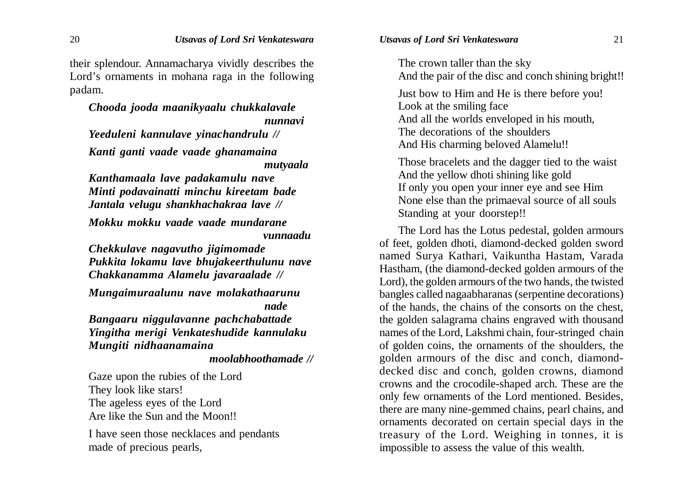their splendour. Annamacharya vividly describes the Lord's ornaments in mohana raga in the following padam.

*Chooda jooda maanikyaalu chukkalavale nunnavi Yeeduleni kannulave yinachandrulu // Kanti ganti vaade vaade ghanamaina mutyaala Kanthamaala lave padakamulu nave Minti podavainatti minchu kireetam bade Jantala velugu shankhachakraa lave // Mokku mokku vaade vaade mundarane vunnaadu Chekkulave nagavutho jigimomade Pukkita lokamu lave bhujakeerthulunu nave Chakkanamma Alamelu javaraalade // Mungaimuraalunu nave molakathaarunu nade Bangaaru niggulavanne pachchabattade Yingitha merigi Venkateshudide kannulaku Mungiti nidhaanamaina moolabhoothamade //* Gaze upon the rubies of the Lord They look like stars! The ageless eyes of the Lord

Are like the Sun and the Moon!!

I have seen those necklaces and pendants made of precious pearls,

The crown taller than the sky And the pair of the disc and conch shining bright!!

Just bow to Him and He is there before you! Look at the smiling face And all the worlds enveloped in his mouth, The decorations of the shoulders And His charming beloved Alamelu!!

Those bracelets and the dagger tied to the waist And the yellow dhoti shining like gold If only you open your inner eye and see Him None else than the primaeval source of all souls Standing at your doorstep!!

The Lord has the Lotus pedestal, golden armours of feet, golden dhoti, diamond-decked golden sword named Surya Kathari, Vaikuntha Hastam, Varada Hastham, (the diamond-decked golden armours of the Lord), the golden armours of the two hands, the twisted bangles called nagaabharanas (serpentine decorations) of the hands, the chains of the consorts on the chest, the golden salagrama chains engraved with thousand names of the Lord, Lakshmi chain, four-stringed chain of golden coins, the ornaments of the shoulders, the golden armours of the disc and conch, diamonddecked disc and conch, golden crowns, diamond crowns and the crocodile-shaped arch. These are the only few ornaments of the Lord mentioned. Besides, there are many nine-gemmed chains, pearl chains, and ornaments decorated on certain special days in the treasury of the Lord. Weighing in tonnes, it is impossible to assess the value of this wealth.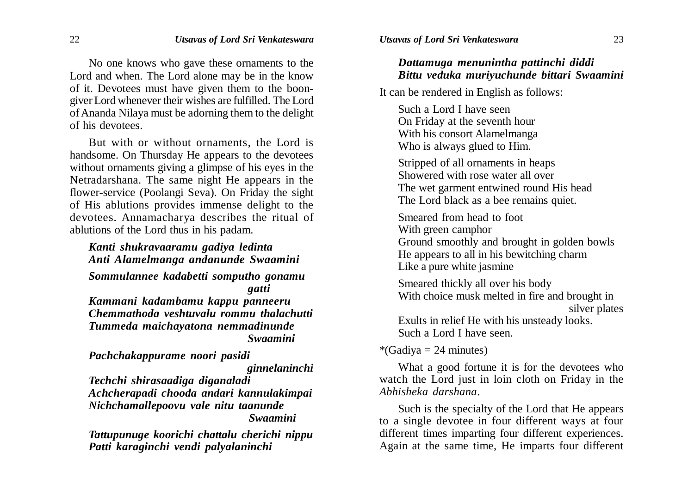No one knows who gave these ornaments to the Lord and when. The Lord alone may be in the know of it. Devotees must have given them to the boongiver Lord whenever their wishes are fulfilled. The Lord of Ananda Nilaya must be adorning them to the delight of his devotees.

But with or without ornaments, the Lord is handsome. On Thursday He appears to the devotees without ornaments giving a glimpse of his eyes in the Netradarshana. The same night He appears in the flower-service (Poolangi Seva). On Friday the sight of His ablutions provides immense delight to the devotees. Annamacharya describes the ritual of ablutions of the Lord thus in his padam.

#### *Kanti shukravaaramu gadiya ledinta Anti Alamelmanga andanunde Swaamini*

*Sommulannee kadabetti somputho gonamu gatti*

*Kammani kadambamu kappu panneeru Chemmathoda veshtuvalu rommu thalachutti Tummeda maichayatona nemmadinunde Swaamini*

*Pachchakappurame noori pasidi*

 *ginnelaninchi*

*Techchi shirasaadiga diganaladi Achcherapadi chooda andari kannulakimpai Nichchamallepoovu vale nitu taanunde Swaamini*

*Tattupunuge koorichi chattalu cherichi nippu Patti karaginchi vendi palyalaninchi*

#### *Dattamuga menunintha pattinchi diddi Bittu veduka muriyuchunde bittari Swaamini*

It can be rendered in English as follows:

Such a Lord I have seen On Friday at the seventh hour With his consort Alamelmanga Who is always glued to Him.

Stripped of all ornaments in heaps Showered with rose water all over The wet garment entwined round His head The Lord black as a bee remains quiet.

Smeared from head to foot With green camphor Ground smoothly and brought in golden bowls He appears to all in his bewitching charm Like a pure white jasmine

Smeared thickly all over his body With choice musk melted in fire and brought in silver plates

Exults in relief He with his unsteady looks. Such a Lord I have seen.

 $*(Gadiya = 24$  minutes)

What a good fortune it is for the devotees who watch the Lord just in loin cloth on Friday in the *Abhisheka darshana*.

Such is the specialty of the Lord that He appears to a single devotee in four different ways at four different times imparting four different experiences. Again at the same time, He imparts four different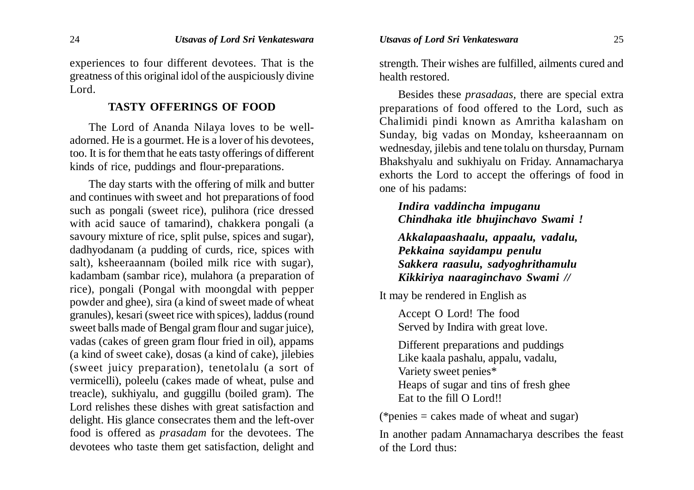experiences to four different devotees. That is the greatness of this original idol of the auspiciously divine Lord.

### **TASTY OFFERINGS OF FOOD**

The Lord of Ananda Nilaya loves to be welladorned. He is a gourmet. He is a lover of his devotees, too. It is for them that he eats tasty offerings of different kinds of rice, puddings and flour-preparations.

The day starts with the offering of milk and butter and continues with sweet and hot preparations of food such as pongali (sweet rice), pulihora (rice dressed with acid sauce of tamarind), chakkera pongali (a savoury mixture of rice, split pulse, spices and sugar), dadhyodanam (a pudding of curds, rice, spices with salt), ksheeraannam (boiled milk rice with sugar), kadambam (sambar rice), mulahora (a preparation of rice), pongali (Pongal with moongdal with pepper powder and ghee), sira (a kind of sweet made of wheat granules), kesari (sweet rice with spices), laddus (round sweet balls made of Bengal gram flour and sugar juice), vadas (cakes of green gram flour fried in oil), appams (a kind of sweet cake), dosas (a kind of cake), jilebies (sweet juicy preparation), tenetolalu (a sort of vermicelli), poleelu (cakes made of wheat, pulse and treacle), sukhiyalu, and guggillu (boiled gram). The Lord relishes these dishes with great satisfaction and delight. His glance consecrates them and the left-over food is offered as *prasadam* for the devotees. The devotees who taste them get satisfaction, delight and

strength. Their wishes are fulfilled, ailments cured and health restored.

Besides these *prasadaas,* there are special extra preparations of food offered to the Lord, such as Chalimidi pindi known as Amritha kalasham on Sunday, big vadas on Monday, ksheeraannam on wednesday, jilebis and tene tolalu on thursday, Purnam Bhakshyalu and sukhiyalu on Friday. Annamacharya exhorts the Lord to accept the offerings of food in one of his padams:

# *Indira vaddincha impuganu Chindhaka itle bhujinchavo Swami !*

*Akkalapaashaalu, appaalu, vadalu, Pekkaina sayidampu penulu Sakkera raasulu, sadyoghrithamulu Kikkiriya naaraginchavo Swami //*

It may be rendered in English as

Accept O Lord! The food Served by Indira with great love.

Different preparations and puddings Like kaala pashalu, appalu, vadalu, Variety sweet penies\* Heaps of sugar and tins of fresh ghee Eat to the fill O Lord!!

(\*penies = cakes made of wheat and sugar)

In another padam Annamacharya describes the feast of the Lord thus: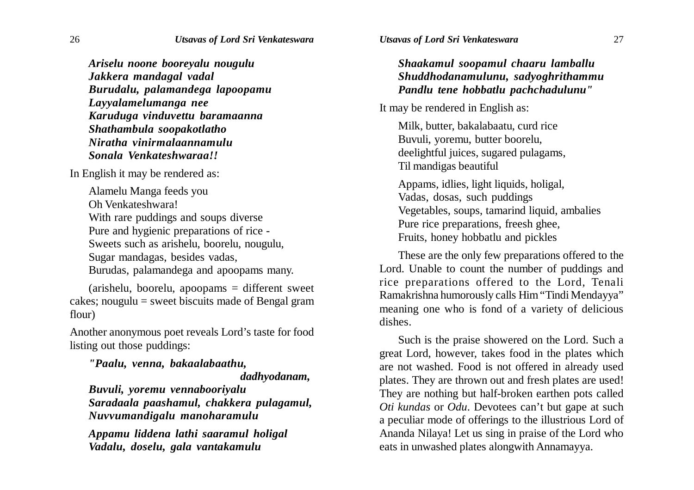*Ariselu noone booreyalu nougulu Jakkera mandagal vadal Burudalu, palamandega lapoopamu Layyalamelumanga nee Karuduga vinduvettu baramaanna Shathambula soopakotlatho Niratha vinirmalaannamulu Sonala Venkateshwaraa!!*

In English it may be rendered as:

Alamelu Manga feeds you Oh Venkateshwara! With rare puddings and soups diverse Pure and hygienic preparations of rice - Sweets such as arishelu, boorelu, nougulu, Sugar mandagas, besides vadas, Burudas, palamandega and apoopams many.

(arishelu, boorelu, apoopams = different sweet cakes; nougulu  $=$  sweet biscuits made of Bengal gram flour)

Another anonymous poet reveals Lord's taste for food listing out those puddings:

*"Paalu, venna, bakaalabaathu, dadhyodanam,*

*Buvuli, yoremu vennabooriyalu Saradaala paashamul, chakkera pulagamul, Nuvvumandigalu manoharamulu*

*Appamu liddena lathi saaramul holigal Vadalu, doselu, gala vantakamulu*

*Shaakamul soopamul chaaru lamballu Shuddhodanamulunu, sadyoghrithammu Pandlu tene hobbatlu pachchadulunu"*

It may be rendered in English as:

Milk, butter, bakalabaatu, curd rice Buvuli, yoremu, butter boorelu, deelightful juices, sugared pulagams, Til mandigas beautiful

Appams, idlies, light liquids, holigal, Vadas, dosas, such puddings Vegetables, soups, tamarind liquid, ambalies Pure rice preparations, freesh ghee, Fruits, honey hobbatlu and pickles

These are the only few preparations offered to the Lord. Unable to count the number of puddings and rice preparations offered to the Lord, Tenali Ramakrishna humorously calls Him "Tindi Mendayya" meaning one who is fond of a variety of delicious dishes.

Such is the praise showered on the Lord. Such a great Lord, however, takes food in the plates which are not washed. Food is not offered in already used plates. They are thrown out and fresh plates are used! They are nothing but half-broken earthen pots called *Oti kundas* or *Odu*. Devotees can't but gape at such a peculiar mode of offerings to the illustrious Lord of Ananda Nilaya! Let us sing in praise of the Lord who eats in unwashed plates alongwith Annamayya.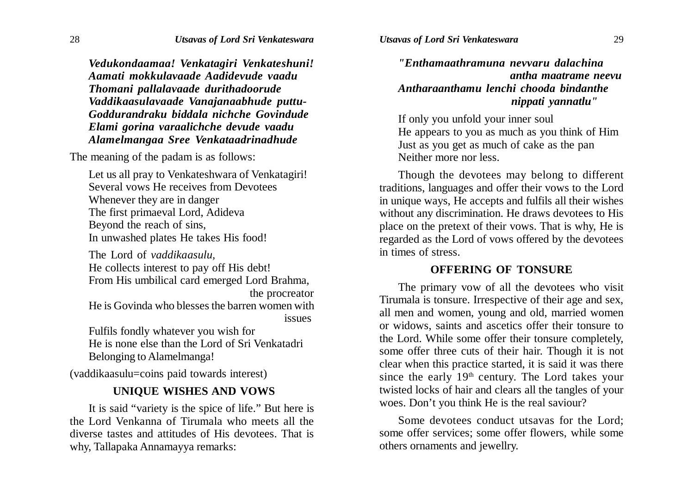*Vedukondaamaa! Venkatagiri Venkateshuni! Aamati mokkulavaade Aadidevude vaadu Thomani pallalavaade durithadoorude Vaddikaasulavaade Vanajanaabhude puttu-Goddurandraku biddala nichche Govindude Elami gorina varaalichche devude vaadu Alamelmangaa Sree Venkataadrinadhude*

The meaning of the padam is as follows:

Let us all pray to Venkateshwara of Venkatagiri! Several vows He receives from Devotees Whenever they are in danger The first primaeval Lord, Adideva Beyond the reach of sins, In unwashed plates He takes His food!

The Lord of *vaddikaasulu,* He collects interest to pay off His debt! From His umbilical card emerged Lord Brahma, the procreator He is Govinda who blesses the barren women with issues

Fulfils fondly whatever you wish for He is none else than the Lord of Sri Venkatadri Belonging to Alamelmanga!

(vaddikaasulu=coins paid towards interest)

# **UNIQUE WISHES AND VOWS**

It is said "variety is the spice of life." But here is the Lord Venkanna of Tirumala who meets all the diverse tastes and attitudes of His devotees. That is why, Tallapaka Annamayya remarks:

*"Enthamaathramuna nevvaru dalachina antha maatrame neevu Antharaanthamu lenchi chooda bindanthe nippati yannatlu"*

If only you unfold your inner soul He appears to you as much as you think of Him Just as you get as much of cake as the pan Neither more nor less.

Though the devotees may belong to different traditions, languages and offer their vows to the Lord in unique ways, He accepts and fulfils all their wishes without any discrimination. He draws devotees to His place on the pretext of their vows. That is why, He is regarded as the Lord of vows offered by the devotees in times of stress.

#### **OFFERING OF TONSURE**

The primary vow of all the devotees who visit Tirumala is tonsure. Irrespective of their age and sex, all men and women, young and old, married women or widows, saints and ascetics offer their tonsure to the Lord. While some offer their tonsure completely, some offer three cuts of their hair. Though it is not clear when this practice started, it is said it was there since the early  $19<sup>th</sup>$  century. The Lord takes your twisted locks of hair and clears all the tangles of your woes. Don't you think He is the real saviour?

Some devotees conduct utsavas for the Lord; some offer services; some offer flowers, while some others ornaments and jewellry.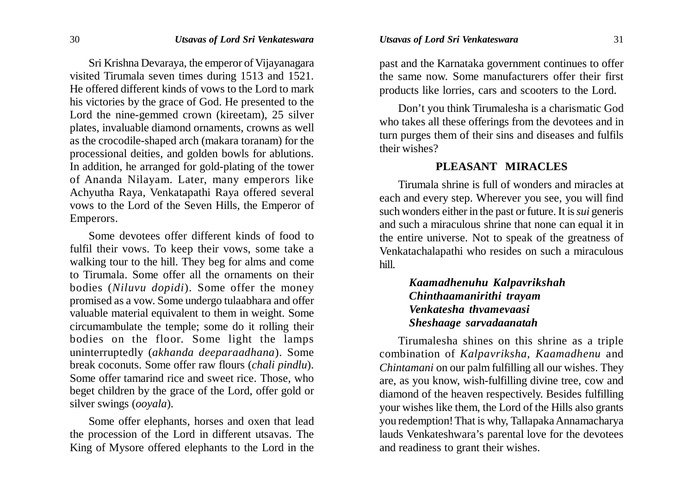Sri Krishna Devaraya, the emperor of Vijayanagara visited Tirumala seven times during 1513 and 1521. He offered different kinds of vows to the Lord to mark his victories by the grace of God. He presented to the Lord the nine-gemmed crown (kireetam), 25 silver plates, invaluable diamond ornaments, crowns as well as the crocodile-shaped arch (makara toranam) for the processional deities, and golden bowls for ablutions. In addition, he arranged for gold-plating of the tower of Ananda Nilayam. Later, many emperors like Achyutha Raya, Venkatapathi Raya offered several vows to the Lord of the Seven Hills, the Emperor of Emperors.

Some devotees offer different kinds of food to fulfil their vows. To keep their vows, some take a walking tour to the hill. They beg for alms and come to Tirumala. Some offer all the ornaments on their bodies (*Niluvu dopidi*). Some offer the money promised as a vow. Some undergo tulaabhara and offer valuable material equivalent to them in weight. Some circumambulate the temple; some do it rolling their bodies on the floor. Some light the lamps uninterruptedly (*akhanda deeparaadhana*). Some break coconuts. Some offer raw flours (*chali pindlu*). Some offer tamarind rice and sweet rice. Those, who beget children by the grace of the Lord, offer gold or silver swings (*ooyala*).

Some offer elephants, horses and oxen that lead the procession of the Lord in different utsavas. The King of Mysore offered elephants to the Lord in the past and the Karnataka government continues to offer the same now. Some manufacturers offer their first products like lorries, cars and scooters to the Lord.

Don't you think Tirumalesha is a charismatic God who takes all these offerings from the devotees and in turn purges them of their sins and diseases and fulfils their wishes?

#### **PLEASANT MIRACLES**

Tirumala shrine is full of wonders and miracles at each and every step. Wherever you see, you will find such wonders either in the past or future. It is *sui* generis and such a miraculous shrine that none can equal it in the entire universe. Not to speak of the greatness of Venkatachalapathi who resides on such a miraculous hill.

# *Kaamadhenuhu Kalpavrikshah Chinthaamanirithi trayam Venkatesha thvamevaasi Sheshaage sarvadaanatah*

Tirumalesha shines on this shrine as a triple combination of *Kalpavriksha, Kaamadhenu* and *Chintamani* on our palm fulfilling all our wishes. They are, as you know, wish-fulfilling divine tree, cow and diamond of the heaven respectively. Besides fulfilling your wishes like them, the Lord of the Hills also grants you redemption! That is why, Tallapaka Annamacharya lauds Venkateshwara's parental love for the devotees and readiness to grant their wishes.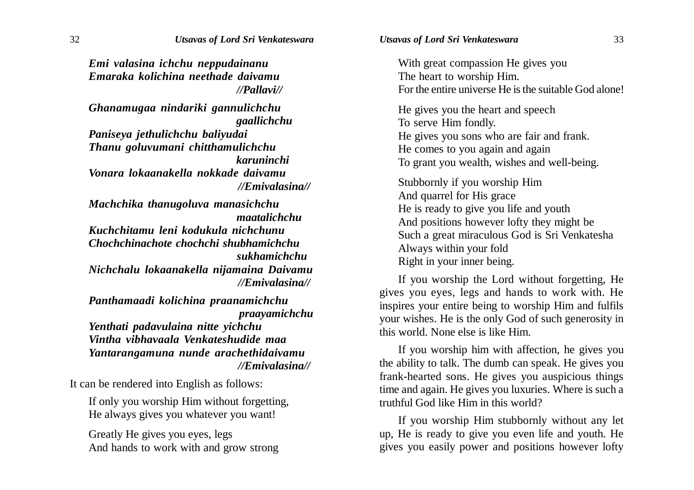*//Emivalasina//*

*Emi valasina ichchu neppudainanu Emaraka kolichina neethade daivamu //Pallavi// Ghanamugaa nindariki gannulichchu gaallichchu Paniseya jethulichchu baliyudai Thanu goluvumani chitthamulichchu karuninchi Vonara lokaanakella nokkade daivamu //Emivalasina// Machchika thanugoluva manasichchu maatalichchu Kuchchitamu leni kodukula nichchunu Chochchinachote chochchi shubhamichchu sukhamichchu Nichchalu lokaanakella nijamaina Daivamu //Emivalasina// Panthamaadi kolichina praanamichchu praayamichchu Yenthati padavulaina nitte yichchu Vintha vibhavaala Venkateshudide maa Yantarangamuna nunde arachethidaivamu*

It can be rendered into English as follows:

If only you worship Him without forgetting,

He always gives you whatever you want!

Greatly He gives you eyes, legs And hands to work with and grow strong With great compassion He gives you The heart to worship Him. For the entire universe He is the suitable God alone!

He gives you the heart and speech To serve Him fondly. He gives you sons who are fair and frank. He comes to you again and again To grant you wealth, wishes and well-being.

Stubbornly if you worship Him And quarrel for His grace He is ready to give you life and youth And positions however lofty they might be Such a great miraculous God is Sri Venkatesha Always within your fold Right in your inner being.

If you worship the Lord without forgetting, He gives you eyes, legs and hands to work with. He inspires your entire being to worship Him and fulfils your wishes. He is the only God of such generosity in this world. None else is like Him.

If you worship him with affection, he gives you the ability to talk. The dumb can speak. He gives you frank-hearted sons. He gives you auspicious things time and again. He gives you luxuries. Where is such a truthful God like Him in this world?

If you worship Him stubbornly without any let up, He is ready to give you even life and youth. He gives you easily power and positions however lofty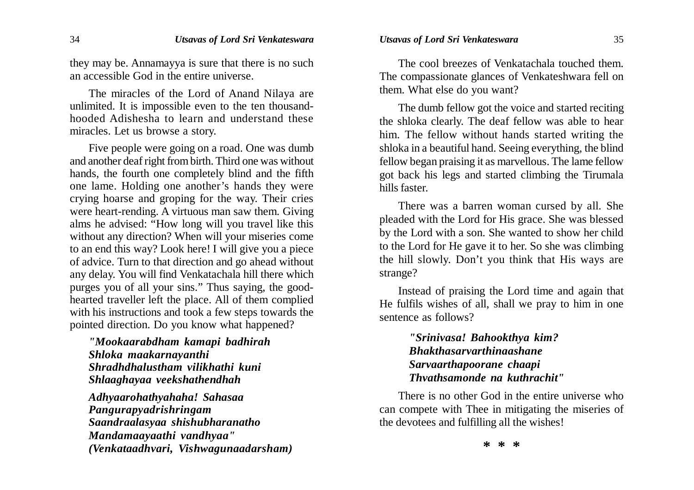they may be. Annamayya is sure that there is no such an accessible God in the entire universe.

The miracles of the Lord of Anand Nilaya are unlimited. It is impossible even to the ten thousandhooded Adishesha to learn and understand these miracles. Let us browse a story.

Five people were going on a road. One was dumb and another deaf right from birth. Third one was without hands, the fourth one completely blind and the fifth one lame. Holding one another's hands they were crying hoarse and groping for the way. Their cries were heart-rending. A virtuous man saw them. Giving alms he advised: "How long will you travel like this without any direction? When will your miseries come to an end this way? Look here! I will give you a piece of advice. Turn to that direction and go ahead without any delay. You will find Venkatachala hill there which purges you of all your sins." Thus saying, the goodhearted traveller left the place. All of them complied with his instructions and took a few steps towards the pointed direction. Do you know what happened?

*"Mookaarabdham kamapi badhirah Shloka maakarnayanthi Shradhdhalustham vilikhathi kuni Shlaaghayaa veekshathendhah*

*Adhyaarohathyahaha! Sahasaa Pangurapyadrishringam Saandraalasyaa shishubharanatho Mandamaayaathi vandhyaa" (Venkataadhvari, Vishwagunaadarsham)*

The cool breezes of Venkatachala touched them. The compassionate glances of Venkateshwara fell on them. What else do you want?

The dumb fellow got the voice and started reciting the shloka clearly. The deaf fellow was able to hear him. The fellow without hands started writing the shloka in a beautiful hand. Seeing everything, the blind fellow began praising it as marvellous. The lame fellow got back his legs and started climbing the Tirumala hills faster.

There was a barren woman cursed by all. She pleaded with the Lord for His grace. She was blessed by the Lord with a son. She wanted to show her child to the Lord for He gave it to her. So she was climbing the hill slowly. Don't you think that His ways are strange?

Instead of praising the Lord time and again that He fulfils wishes of all, shall we pray to him in one sentence as follows?

> *"Srinivasa! Bahookthya kim? Bhakthasarvarthinaashane Sarvaarthapoorane chaapi Thvathsamonde na kuthrachit"*

There is no other God in the entire universe who can compete with Thee in mitigating the miseries of the devotees and fulfilling all the wishes!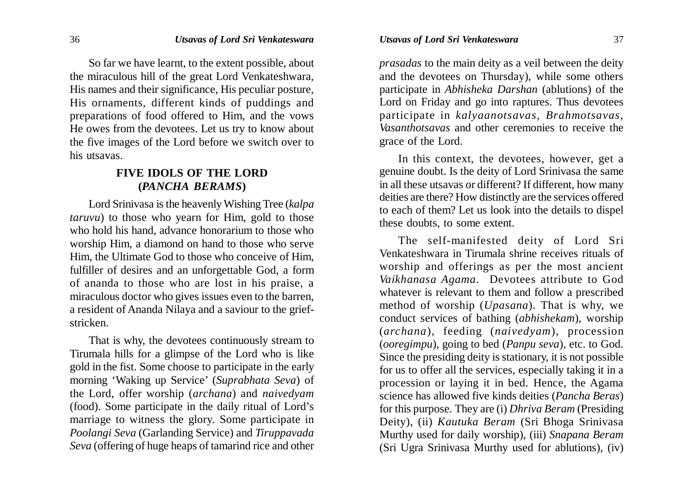So far we have learnt, to the extent possible, about the miraculous hill of the great Lord Venkateshwara, His names and their significance, His peculiar posture, His ornaments, different kinds of puddings and preparations of food offered to Him, and the vows He owes from the devotees. Let us try to know about the five images of the Lord before we switch over to his utsavas.

# **FIVE IDOLS OF THE LORD (***PANCHA BERAMS***)**

Lord Srinivasa is the heavenly Wishing Tree (*kalpa taruvu*) to those who yearn for Him, gold to those who hold his hand, advance honorarium to those who worship Him, a diamond on hand to those who serve Him, the Ultimate God to those who conceive of Him, fulfiller of desires and an unforgettable God, a form of ananda to those who are lost in his praise, a miraculous doctor who gives issues even to the barren, a resident of Ananda Nilaya and a saviour to the griefstricken.

That is why, the devotees continuously stream to Tirumala hills for a glimpse of the Lord who is like gold in the fist. Some choose to participate in the early morning 'Waking up Service' (*Suprabhata Seva*) of the Lord, offer worship (*archana*) and *naivedyam* (food). Some participate in the daily ritual of Lord's marriage to witness the glory. Some participate in *Poolangi Seva* (Garlanding Service) and *Tiruppavada Seva* (offering of huge heaps of tamarind rice and other *prasadas* to the main deity as a veil between the deity and the devotees on Thursday), while some others participate in *Abhisheka Darshan* (ablutions) of the Lord on Friday and go into raptures. Thus devotees participate in *kalyaanotsavas, Brahmotsavas, Vasanthotsavas* and other ceremonies to receive the grace of the Lord.

In this context, the devotees, however, get a genuine doubt. Is the deity of Lord Srinivasa the same in all these utsavas or different? If different, how many deities are there? How distinctly are the services offered to each of them? Let us look into the details to dispel these doubts, to some extent.

The self-manifested deity of Lord Sri Venkateshwara in Tirumala shrine receives rituals of worship and offerings as per the most ancient *Vaikhanasa Agama*. Devotees attribute to God whatever is relevant to them and follow a prescribed method of worship (*Upasana*). That is why, we conduct services of bathing (*abhishekam*), worship (*archana*), feeding (*naivedyam*), procession (*ooregimpu*), going to bed (*Panpu seva*), etc. to God. Since the presiding deity is stationary, it is not possible for us to offer all the services, especially taking it in a procession or laying it in bed. Hence, the Agama science has allowed five kinds deities (*Pancha Beras*) for this purpose. They are (i) *Dhriva Beram* (Presiding Deity), (ii) *Kautuka Beram* (Sri Bhoga Srinivasa Murthy used for daily worship), (iii) *Snapana Beram* (Sri Ugra Srinivasa Murthy used for ablutions), (iv)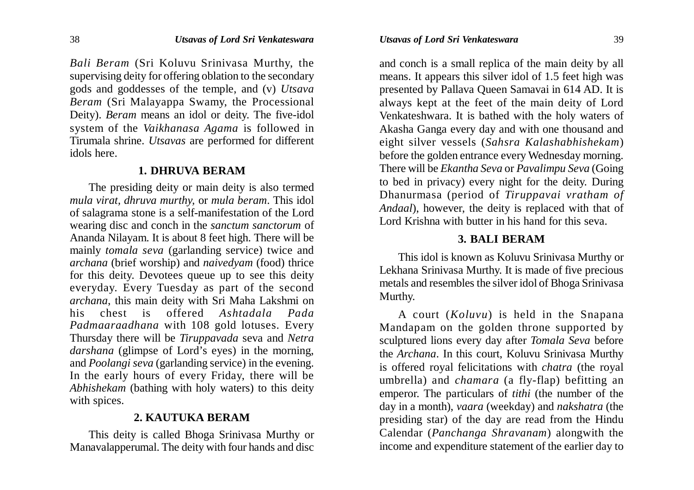*Bali Beram* (Sri Koluvu Srinivasa Murthy, the supervising deity for offering oblation to the secondary gods and goddesses of the temple, and (v) *Utsava Beram* (Sri Malayappa Swamy, the Processional Deity). *Beram* means an idol or deity. The five-idol system of the *Vaikhanasa Agama* is followed in Tirumala shrine. *Utsavas* are performed for different idols here.

#### **1. DHRUVA BERAM**

The presiding deity or main deity is also termed *mula virat, dhruva murthy,* or *mula beram*. This idol of salagrama stone is a self-manifestation of the Lord wearing disc and conch in the *sanctum sanctorum* of Ananda Nilayam. It is about 8 feet high. There will be mainly *tomala seva* (garlanding service) twice and *archana* (brief worship) and *naivedyam* (food) thrice for this deity. Devotees queue up to see this deity everyday. Every Tuesday as part of the second *archana*, this main deity with Sri Maha Lakshmi on his chest is offered *Ashtadala Pada Padmaaraadhana* with 108 gold lotuses. Every Thursday there will be *Tiruppavada* seva and *Netra darshana* (glimpse of Lord's eyes) in the morning, and *Poolangi seva* (garlanding service) in the evening. In the early hours of every Friday, there will be *Abhishekam* (bathing with holy waters) to this deity with spices.

# **2. KAUTUKA BERAM**

This deity is called Bhoga Srinivasa Murthy or Manavalapperumal. The deity with four hands and disc and conch is a small replica of the main deity by all means. It appears this silver idol of 1.5 feet high was presented by Pallava Queen Samavai in 614 AD. It is always kept at the feet of the main deity of Lord Venkateshwara. It is bathed with the holy waters of Akasha Ganga every day and with one thousand and eight silver vessels (*Sahsra Kalashabhishekam*) before the golden entrance every Wednesday morning. There will be *Ekantha Seva* or *Pavalimpu Seva* (Going to bed in privacy) every night for the deity. During Dhanurmasa (period of *Tiruppavai vratham of Andaal*), however, the deity is replaced with that of Lord Krishna with butter in his hand for this seva.

#### **3. BALI BERAM**

This idol is known as Koluvu Srinivasa Murthy or Lekhana Srinivasa Murthy. It is made of five precious metals and resembles the silver idol of Bhoga Srinivasa Murthy.

A court (*Koluvu*) is held in the Snapana Mandapam on the golden throne supported by sculptured lions every day after *Tomala Seva* before the *Archana*. In this court, Koluvu Srinivasa Murthy is offered royal felicitations with *chatra* (the royal umbrella) and *chamara* (a fly-flap) befitting an emperor. The particulars of *tithi* (the number of the day in a month), *vaara* (weekday) and *nakshatra* (the presiding star) of the day are read from the Hindu Calendar (*Panchanga Shravanam*) alongwith the income and expenditure statement of the earlier day to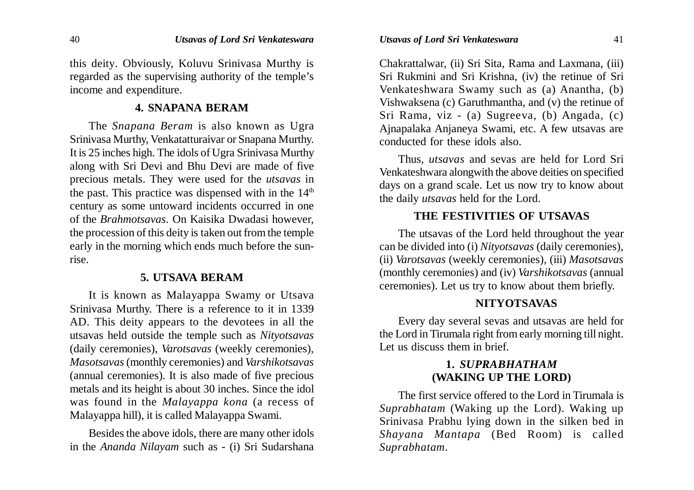this deity. Obviously, Koluvu Srinivasa Murthy is regarded as the supervising authority of the temple's income and expenditure.

#### **4. SNAPANA BERAM**

The *Snapana Beram* is also known as Ugra Srinivasa Murthy, Venkatatturaivar or Snapana Murthy. It is 25 inches high. The idols of Ugra Srinivasa Murthy along with Sri Devi and Bhu Devi are made of five precious metals. They were used for the *utsavas* in the past. This practice was dispensed with in the  $14<sup>th</sup>$ century as some untoward incidents occurred in one of the *Brahmotsavas*. On Kaisika Dwadasi however, the procession of this deity is taken out from the temple early in the morning which ends much before the sunrise.

#### **5. UTSAVA BERAM**

It is known as Malayappa Swamy or Utsava Srinivasa Murthy. There is a reference to it in 1339 AD. This deity appears to the devotees in all the utsavas held outside the temple such as *Nityotsavas* (daily ceremonies), *Varotsavas* (weekly ceremonies), *Masotsavas* (monthly ceremonies) and *Varshikotsavas* (annual ceremonies). It is also made of five precious metals and its height is about 30 inches. Since the idol was found in the *Malayappa kona* (a recess of Malayappa hill), it is called Malayappa Swami.

Besides the above idols, there are many other idols in the *Ananda Nilayam* such as - (i) Sri Sudarshana Chakrattalwar, (ii) Sri Sita, Rama and Laxmana, (iii) Sri Rukmini and Sri Krishna, (iv) the retinue of Sri Venkateshwara Swamy such as (a) Anantha, (b) Vishwaksena (c) Garuthmantha, and (v) the retinue of Sri Rama, viz - (a) Sugreeva, (b) Angada, (c) Ajnapalaka Anjaneya Swami, etc. A few utsavas are conducted for these idols also.

Thus, *utsavas* and sevas are held for Lord Sri Venkateshwara alongwith the above deities on specified days on a grand scale. Let us now try to know about the daily *utsavas* held for the Lord.

#### **THE FESTIVITIES OF UTSAVAS**

The utsavas of the Lord held throughout the year can be divided into (i) *Nityotsavas* (daily ceremonies), (ii) *Varotsavas* (weekly ceremonies), (iii) *Masotsavas* (monthly ceremonies) and (iv) *Varshikotsavas* (annual ceremonies). Let us try to know about them briefly.

### **NITYOTSAVAS**

Every day several sevas and utsavas are held for the Lord in Tirumala right from early morning till night. Let us discuss them in brief.

# **1.** *SUPRABHATHAM* **(WAKING UP THE LORD)**

The first service offered to the Lord in Tirumala is *Suprabhatam* (Waking up the Lord). Waking up Srinivasa Prabhu lying down in the silken bed in *Shayana Mantapa* (Bed Room) is called *Suprabhatam*.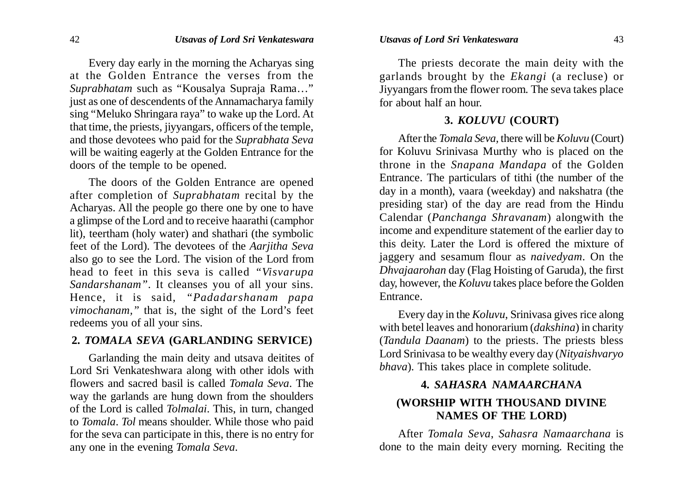Every day early in the morning the Acharyas sing at the Golden Entrance the verses from the *Suprabhatam* such as "Kousalya Supraja Rama…" just as one of descendents of the Annamacharya family sing "Meluko Shringara raya" to wake up the Lord. At that time, the priests, jiyyangars, officers of the temple, and those devotees who paid for the *Suprabhata Seva* will be waiting eagerly at the Golden Entrance for the doors of the temple to be opened.

The doors of the Golden Entrance are opened after completion of *Suprabhatam* recital by the Acharyas. All the people go there one by one to have a glimpse of the Lord and to receive haarathi (camphor lit), teertham (holy water) and shathari (the symbolic feet of the Lord). The devotees of the *Aarjitha Seva* also go to see the Lord. The vision of the Lord from head to feet in this seva is called *"Visvarupa Sandarshanam"*. It cleanses you of all your sins. Hence, it is said, *"Padadarshanam papa vimochanam,"* that is, the sight of the Lord's feet redeems you of all your sins.

#### **2.** *TOMALA SEVA* **(GARLANDING SERVICE)**

Garlanding the main deity and utsava deitites of Lord Sri Venkateshwara along with other idols with flowers and sacred basil is called *Tomala Seva*. The way the garlands are hung down from the shoulders of the Lord is called *Tolmalai*. This, in turn, changed to *Tomala*. *Tol* means shoulder. While those who paid for the seva can participate in this, there is no entry for any one in the evening *Tomala Seva*.

The priests decorate the main deity with the garlands brought by the *Ekangi* (a recluse) or Jiyyangars from the flower room. The seva takes place for about half an hour.

#### **3.** *KOLUVU* **(COURT)**

After the *Tomala Seva,* there will be *Koluvu* (Court) for Koluvu Srinivasa Murthy who is placed on the throne in the *Snapana Mandapa* of the Golden Entrance. The particulars of tithi (the number of the day in a month), vaara (weekday) and nakshatra (the presiding star) of the day are read from the Hindu Calendar (*Panchanga Shravanam*) alongwith the income and expenditure statement of the earlier day to this deity. Later the Lord is offered the mixture of jaggery and sesamum flour as *naivedyam*. On the *Dhvajaarohan* day (Flag Hoisting of Garuda), the first day, however, the *Koluvu* takes place before the Golden Entrance.

Every day in the *Koluvu*, Srinivasa gives rice along with betel leaves and honorarium (*dakshina*) in charity (*Tandula Daanam*) to the priests. The priests bless Lord Srinivasa to be wealthy every day (*Nityaishvaryo bhava*). This takes place in complete solitude.

# **4.** *SAHASRA NAMAARCHANA* **(WORSHIP WITH THOUSAND DIVINE NAMES OF THE LORD)**

After *Tomala Seva*, *Sahasra Namaarchana* is done to the main deity every morning. Reciting the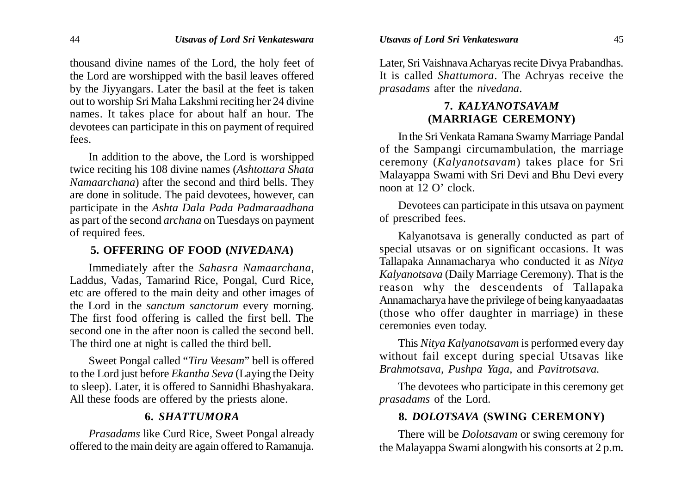thousand divine names of the Lord, the holy feet of the Lord are worshipped with the basil leaves offered by the Jiyyangars. Later the basil at the feet is taken out to worship Sri Maha Lakshmi reciting her 24 divine names. It takes place for about half an hour. The devotees can participate in this on payment of required fees.

In addition to the above, the Lord is worshipped twice reciting his 108 divine names (*Ashtottara Shata Namaarchana*) after the second and third bells. They are done in solitude. The paid devotees, however, can participate in the *Ashta Dala Pada Padmaraadhana* as part of the second *archana* on Tuesdays on payment of required fees.

#### **5. OFFERING OF FOOD (***NIVEDANA***)**

Immediately after the *Sahasra Namaarchana*, Laddus, Vadas, Tamarind Rice, Pongal, Curd Rice, etc are offered to the main deity and other images of the Lord in the *sanctum sanctorum* every morning. The first food offering is called the first bell. The second one in the after noon is called the second bell. The third one at night is called the third bell.

Sweet Pongal called "*Tiru Veesam*" bell is offered to the Lord just before *Ekantha Seva* (Laying the Deity to sleep). Later, it is offered to Sannidhi Bhashyakara. All these foods are offered by the priests alone.

# **6.** *SHATTUMORA*

*Prasadams* like Curd Rice, Sweet Pongal already offered to the main deity are again offered to Ramanuja.

Later, Sri Vaishnava Acharyas recite Divya Prabandhas. It is called *Shattumora*. The Achryas receive the *prasadams* after the *nivedana*.

# **7.** *KALYANOTSAVAM* **(MARRIAGE CEREMONY)**

In the Sri Venkata Ramana Swamy Marriage Pandal of the Sampangi circumambulation, the marriage ceremony (*Kalyanotsavam*) takes place for Sri Malayappa Swami with Sri Devi and Bhu Devi every noon at 12 O' clock.

Devotees can participate in this utsava on payment of prescribed fees.

Kalyanotsava is generally conducted as part of special utsavas or on significant occasions. It was Tallapaka Annamacharya who conducted it as *Nitya Kalyanotsava* (Daily Marriage Ceremony). That is the reason why the descendents of Tallapaka Annamacharya have the privilege of being kanyaadaatas (those who offer daughter in marriage) in these ceremonies even today.

This *Nitya Kalyanotsavam* is performed every day without fail except during special Utsavas like *Brahmotsava, Pushpa Yaga,* and *Pavitrotsava.*

The devotees who participate in this ceremony get *prasadams* of the Lord.

# **8.** *DOLOTSAVA* **(SWING CEREMONY)**

There will be *Dolotsavam* or swing ceremony for the Malayappa Swami alongwith his consorts at 2 p.m.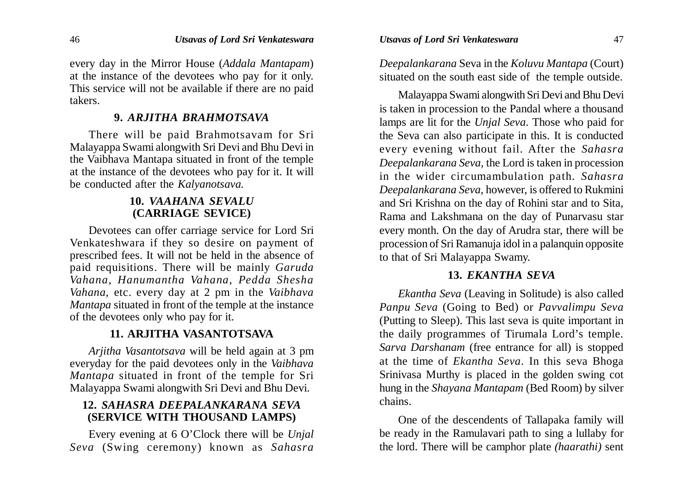every day in the Mirror House (*Addala Mantapam*) at the instance of the devotees who pay for it only. This service will not be available if there are no paid takers.

### **9.** *ARJITHA BRAHMOTSAVA*

There will be paid Brahmotsavam for Sri Malayappa Swami alongwith Sri Devi and Bhu Devi in the Vaibhava Mantapa situated in front of the temple at the instance of the devotees who pay for it. It will be conducted after the *Kalyanotsava.*

# **10.** *VAAHANA SEVALU* **(CARRIAGE SEVICE)**

Devotees can offer carriage service for Lord Sri Venkateshwara if they so desire on payment of prescribed fees. It will not be held in the absence of paid requisitions. There will be mainly *Garuda Vahana, Hanumantha Vahana, Pedda Shesha Vahana,* etc. every day at 2 pm in the *Vaibhava Mantapa* situated in front of the temple at the instance of the devotees only who pay for it.

# **11. ARJITHA VASANTOTSAVA**

*Arjitha Vasantotsava* will be held again at 3 pm everyday for the paid devotees only in the *Vaibhava Mantapa* situated in front of the temple for Sri Malayappa Swami alongwith Sri Devi and Bhu Devi.

# **12.** *SAHASRA DEEPALANKARANA SEVA* **(SERVICE WITH THOUSAND LAMPS)**

Every evening at 6 O'Clock there will be *Unjal Seva* (Swing ceremony) known as *Sahasra* *Deepalankarana* Seva in the *Koluvu Mantapa* (Court) situated on the south east side of the temple outside.

Malayappa Swami alongwith Sri Devi and Bhu Devi is taken in procession to the Pandal where a thousand lamps are lit for the *Unjal Seva*. Those who paid for the Seva can also participate in this. It is conducted every evening without fail. After the *Sahasra Deepalankarana Seva,* the Lord is taken in procession in the wider circumambulation path. *Sahasra Deepalankarana Seva,* however, is offered to Rukmini and Sri Krishna on the day of Rohini star and to Sita, Rama and Lakshmana on the day of Punarvasu star every month. On the day of Arudra star, there will be procession of Sri Ramanuja idol in a palanquin opposite to that of Sri Malayappa Swamy.

#### **13.** *EKANTHA SEVA*

*Ekantha Seva* (Leaving in Solitude) is also called *Panpu Seva* (Going to Bed) or *Pavvalimpu Seva* (Putting to Sleep). This last seva is quite important in the daily programmes of Tirumala Lord's temple. *Sarva Darshanam* (free entrance for all) is stopped at the time of *Ekantha Seva*. In this seva Bhoga Srinivasa Murthy is placed in the golden swing cot hung in the *Shayana Mantapam* (Bed Room) by silver chains.

One of the descendents of Tallapaka family will be ready in the Ramulavari path to sing a lullaby for the lord. There will be camphor plate *(haarathi)* sent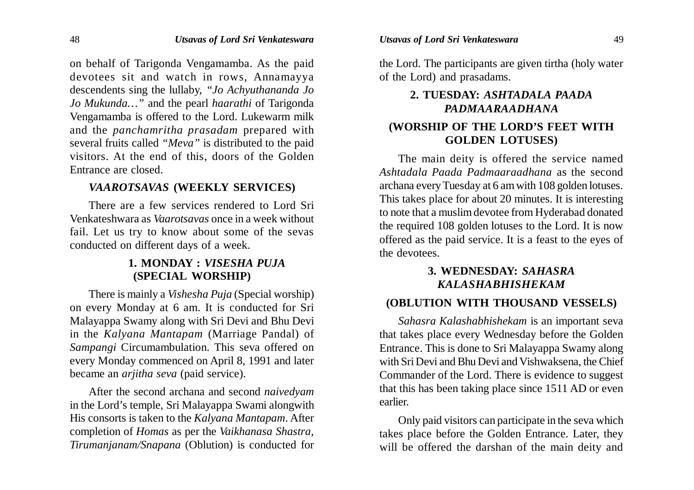on behalf of Tarigonda Vengamamba. As the paid devotees sit and watch in rows, Annamayya descendents sing the lullaby, *"Jo Achyuthananda Jo Jo Mukunda…"* and the pearl *haarathi* of Tarigonda Vengamamba is offered to the Lord. Lukewarm milk and the *panchamritha prasadam* prepared with several fruits called *"Meva"* is distributed to the paid visitors. At the end of this, doors of the Golden Entrance are closed.

#### *VAAROTSAVAS* **(WEEKLY SERVICES)**

There are a few services rendered to Lord Sri Venkateshwara as *Vaarotsavas* once in a week without fail. Let us try to know about some of the sevas conducted on different days of a week.

# **1. MONDAY :** *VISESHA PUJA* **(SPECIAL WORSHIP)**

There is mainly a *Vishesha Puja* (Special worship) on every Monday at 6 am. It is conducted for Sri Malayappa Swamy along with Sri Devi and Bhu Devi in the *Kalyana Mantapam* (Marriage Pandal) of *Sampangi* Circumambulation. This seva offered on every Monday commenced on April 8, 1991 and later became an *arjitha seva* (paid service).

After the second archana and second *naivedyam* in the Lord's temple, Sri Malayappa Swami alongwith His consorts is taken to the *Kalyana Mantapam*. After completion of *Homas* as per the *Vaikhanasa Shastra, Tirumanjanam/Snapana* (Oblution) is conducted for

the Lord. The participants are given tirtha (holy water of the Lord) and prasadams.

# **2. TUESDAY:** *ASHTADALA PAADA PADMAARAADHANA* **(WORSHIP OF THE LORD'S FEET WITH GOLDEN LOTUSES)**

The main deity is offered the service named *Ashtadala Paada Padmaaraadhana* as the second archana every Tuesday at 6 am with 108 golden lotuses. This takes place for about 20 minutes. It is interesting to note that a muslim devotee from Hyderabad donated the required 108 golden lotuses to the Lord. It is now offered as the paid service. It is a feast to the eyes of the devotees.

# **3. WEDNESDAY:** *SAHASRA KALASHABHISHEKAM*

#### **(OBLUTION WITH THOUSAND VESSELS)**

*Sahasra Kalashabhishekam* is an important seva that takes place every Wednesday before the Golden Entrance. This is done to Sri Malayappa Swamy along with Sri Devi and Bhu Devi and Vishwaksena, the Chief Commander of the Lord. There is evidence to suggest that this has been taking place since 1511 AD or even earlier.

Only paid visitors can participate in the seva which takes place before the Golden Entrance. Later, they will be offered the darshan of the main deity and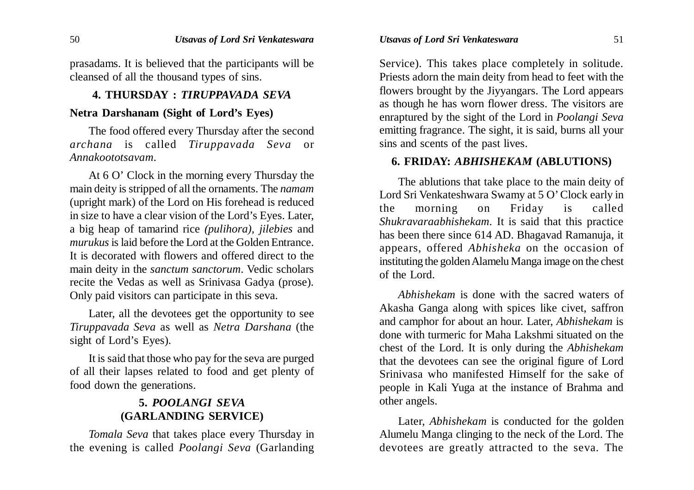prasadams. It is believed that the participants will be cleansed of all the thousand types of sins.

# **4. THURSDAY :** *TIRUPPAVADA SEVA*

### **Netra Darshanam (Sight of Lord's Eyes)**

The food offered every Thursday after the second *archana* is called *Tiruppavada Seva* or *Annakoototsavam*.

At 6 O' Clock in the morning every Thursday the main deity is stripped of all the ornaments. The *namam* (upright mark) of the Lord on His forehead is reduced in size to have a clear vision of the Lord's Eyes. Later, a big heap of tamarind rice *(pulihora), jilebies* and *murukus* is laid before the Lord at the Golden Entrance. It is decorated with flowers and offered direct to the main deity in the *sanctum sanctorum*. Vedic scholars recite the Vedas as well as Srinivasa Gadya (prose). Only paid visitors can participate in this seva.

Later, all the devotees get the opportunity to see *Tiruppavada Seva* as well as *Netra Darshana* (the sight of Lord's Eyes).

It is said that those who pay for the seva are purged of all their lapses related to food and get plenty of food down the generations.

# **5.** *POOLANGI SEVA* **(GARLANDING SERVICE)**

*Tomala Seva* that takes place every Thursday in the evening is called *Poolangi Seva* (Garlanding Service). This takes place completely in solitude. Priests adorn the main deity from head to feet with the flowers brought by the Jiyyangars. The Lord appears as though he has worn flower dress. The visitors are enraptured by the sight of the Lord in *Poolangi Seva* emitting fragrance. The sight, it is said, burns all your sins and scents of the past lives.

#### **6. FRIDAY:** *ABHISHEKAM* **(ABLUTIONS)**

The ablutions that take place to the main deity of Lord Sri Venkateshwara Swamy at 5 O' Clock early in the morning on Friday is called *Shukravaraabhishekam.* It is said that this practice has been there since 614 AD. Bhagavad Ramanuja, it appears, offered *Abhisheka* on the occasion of instituting the golden Alamelu Manga image on the chest of the Lord.

*Abhishekam* is done with the sacred waters of Akasha Ganga along with spices like civet, saffron and camphor for about an hour. Later, *Abhishekam* is done with turmeric for Maha Lakshmi situated on the chest of the Lord. It is only during the *Abhishekam* that the devotees can see the original figure of Lord Srinivasa who manifested Himself for the sake of people in Kali Yuga at the instance of Brahma and other angels.

Later, *Abhishekam* is conducted for the golden Alumelu Manga clinging to the neck of the Lord. The devotees are greatly attracted to the seva. The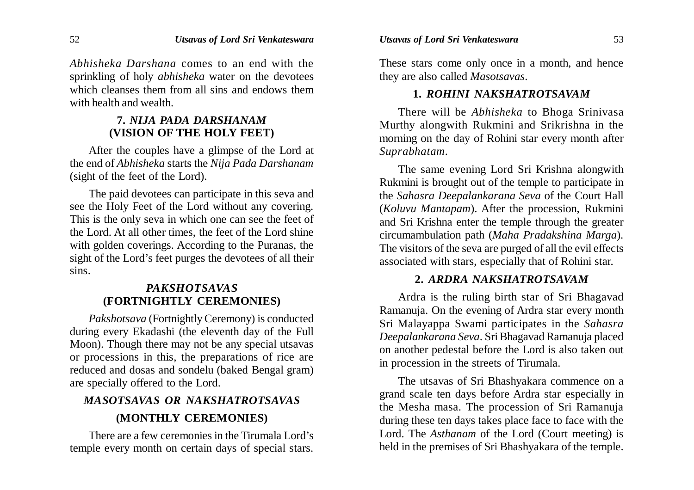*Abhisheka Darshana* comes to an end with the sprinkling of holy *abhisheka* water on the devotees which cleanses them from all sins and endows them with health and wealth.

# **7.** *NIJA PADA DARSHANAM* **(VISION OF THE HOLY FEET)**

After the couples have a glimpse of the Lord at the end of *Abhisheka* starts the *Nija Pada Darshanam* (sight of the feet of the Lord).

The paid devotees can participate in this seva and see the Holy Feet of the Lord without any covering. This is the only seva in which one can see the feet of the Lord. At all other times, the feet of the Lord shine with golden coverings. According to the Puranas, the sight of the Lord's feet purges the devotees of all their sins.

# *PAKSHOTSAVAS* **(FORTNIGHTLY CEREMONIES)**

*Pakshotsava* (Fortnightly Ceremony) is conducted during every Ekadashi (the eleventh day of the Full Moon). Though there may not be any special utsavas or processions in this, the preparations of rice are reduced and dosas and sondelu (baked Bengal gram) are specially offered to the Lord.

# *MASOTSAVAS OR NAKSHATROTSAVAS* **(MONTHLY CEREMONIES)**

There are a few ceremonies in the Tirumala Lord's temple every month on certain days of special stars. These stars come only once in a month, and hence they are also called *Masotsavas*.

#### **1.** *ROHINI NAKSHATROTSAVAM*

There will be *Abhisheka* to Bhoga Srinivasa Murthy alongwith Rukmini and Srikrishna in the morning on the day of Rohini star every month after *Suprabhatam*.

The same evening Lord Sri Krishna alongwith Rukmini is brought out of the temple to participate in the *Sahasra Deepalankarana Seva* of the Court Hall (*Koluvu Mantapam*). After the procession, Rukmini and Sri Krishna enter the temple through the greater circumambulation path (*Maha Pradakshina Marga*). The visitors of the seva are purged of all the evil effects associated with stars, especially that of Rohini star.

#### **2.** *ARDRA NAKSHATROTSAVAM*

Ardra is the ruling birth star of Sri Bhagavad Ramanuja. On the evening of Ardra star every month Sri Malayappa Swami participates in the *Sahasra Deepalankarana Seva*. Sri Bhagavad Ramanuja placed on another pedestal before the Lord is also taken out in procession in the streets of Tirumala.

The utsavas of Sri Bhashyakara commence on a grand scale ten days before Ardra star especially in the Mesha masa. The procession of Sri Ramanuja during these ten days takes place face to face with the Lord. The *Asthanam* of the Lord (Court meeting) is held in the premises of Sri Bhashyakara of the temple.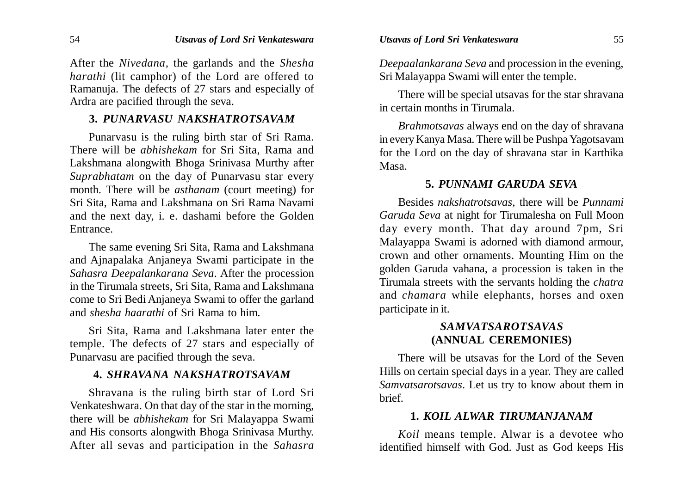After the *Nivedana,* the garlands and the *Shesha harathi* (lit camphor) of the Lord are offered to Ramanuja. The defects of 27 stars and especially of Ardra are pacified through the seva.

# **3.** *PUNARVASU NAKSHATROTSAVAM*

Punarvasu is the ruling birth star of Sri Rama. There will be *abhishekam* for Sri Sita, Rama and Lakshmana alongwith Bhoga Srinivasa Murthy after *Suprabhatam* on the day of Punarvasu star every month. There will be *asthanam* (court meeting) for Sri Sita, Rama and Lakshmana on Sri Rama Navami and the next day, i. e. dashami before the Golden Entrance.

The same evening Sri Sita, Rama and Lakshmana and Ajnapalaka Anjaneya Swami participate in the *Sahasra Deepalankarana Seva*. After the procession in the Tirumala streets, Sri Sita, Rama and Lakshmana come to Sri Bedi Anjaneya Swami to offer the garland and *shesha haarathi* of Sri Rama to him.

Sri Sita, Rama and Lakshmana later enter the temple. The defects of 27 stars and especially of Punarvasu are pacified through the seva.

#### **4.** *SHRAVANA NAKSHATROTSAVAM*

Shravana is the ruling birth star of Lord Sri Venkateshwara. On that day of the star in the morning, there will be *abhishekam* for Sri Malayappa Swami and His consorts alongwith Bhoga Srinivasa Murthy. After all sevas and participation in the *Sahasra* *Deepaalankarana Seva* and procession in the evening, Sri Malayappa Swami will enter the temple.

There will be special utsavas for the star shravana in certain months in Tirumala.

*Brahmotsavas* always end on the day of shravana in every Kanya Masa. There will be Pushpa Yagotsavam for the Lord on the day of shravana star in Karthika Masa.

#### **5.** *PUNNAMI GARUDA SEVA*

Besides *nakshatrotsavas,* there will be *Punnami Garuda Seva* at night for Tirumalesha on Full Moon day every month. That day around 7pm, Sri Malayappa Swami is adorned with diamond armour, crown and other ornaments. Mounting Him on the golden Garuda vahana, a procession is taken in the Tirumala streets with the servants holding the *chatra* and *chamara* while elephants, horses and oxen participate in it.

### *SAMVATSAROTSAVAS* **(ANNUAL CEREMONIES)**

There will be utsavas for the Lord of the Seven Hills on certain special days in a year. They are called *Samvatsarotsavas*. Let us try to know about them in brief.

#### **1.** *KOIL ALWAR TIRUMANJANAM*

*Koil* means temple. Alwar is a devotee who identified himself with God. Just as God keeps His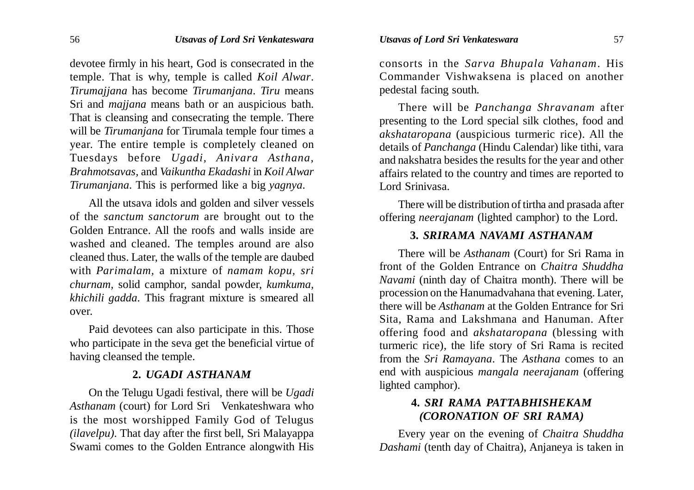devotee firmly in his heart, God is consecrated in the temple. That is why, temple is called *Koil Alwar*. *Tirumajjana* has become *Tirumanjana*. *Tiru* means Sri and *majjana* means bath or an auspicious bath. That is cleansing and consecrating the temple. There will be *Tirumanjana* for Tirumala temple four times a year. The entire temple is completely cleaned on Tuesdays before *Ugadi, Anivara Asthana, Brahmotsavas,* and *Vaikuntha Ekadashi* in *Koil Alwar Tirumanjana*. This is performed like a big *yagnya*.

All the utsava idols and golden and silver vessels of the *sanctum sanctorum* are brought out to the Golden Entrance. All the roofs and walls inside are washed and cleaned. The temples around are also cleaned thus. Later, the walls of the temple are daubed with *Parimalam,* a mixture of *namam kopu, sri churnam,* solid camphor, sandal powder, *kumkuma, khichili gadda*. This fragrant mixture is smeared all over.

Paid devotees can also participate in this. Those who participate in the seva get the beneficial virtue of having cleansed the temple.

#### **2.** *UGADI ASTHANAM*

On the Telugu Ugadi festival, there will be *Ugadi Asthanam* (court) for Lord Sri Venkateshwara who is the most worshipped Family God of Telugus *(ilavelpu)*. That day after the first bell, Sri Malayappa Swami comes to the Golden Entrance alongwith His consorts in the *Sarva Bhupala Vahanam*. His Commander Vishwaksena is placed on another pedestal facing south.

There will be *Panchanga Shravanam* after presenting to the Lord special silk clothes, food and *akshataropana* (auspicious turmeric rice). All the details of *Panchanga* (Hindu Calendar) like tithi, vara and nakshatra besides the results for the year and other affairs related to the country and times are reported to Lord Srinivasa.

There will be distribution of tirtha and prasada after offering *neerajanam* (lighted camphor) to the Lord.

# **3.** *SRIRAMA NAVAMI ASTHANAM*

There will be *Asthanam* (Court) for Sri Rama in front of the Golden Entrance on *Chaitra Shuddha Navami* (ninth day of Chaitra month). There will be procession on the Hanumadvahana that evening. Later, there will be *Asthanam* at the Golden Entrance for Sri Sita, Rama and Lakshmana and Hanuman. After offering food and *akshataropana* (blessing with turmeric rice), the life story of Sri Rama is recited from the *Sri Ramayana*. The *Asthana* comes to an end with auspicious *mangala neerajanam* (offering lighted camphor).

# **4.** *SRI RAMA PATTABHISHEKAM (CORONATION OF SRI RAMA)*

Every year on the evening of *Chaitra Shuddha Dashami* (tenth day of Chaitra), Anjaneya is taken in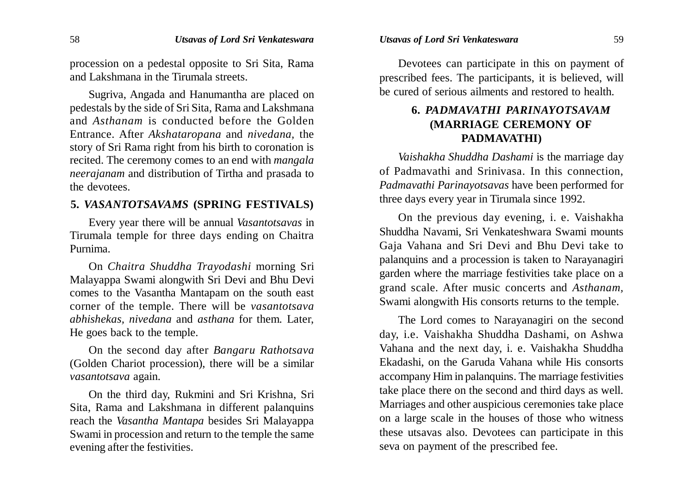procession on a pedestal opposite to Sri Sita, Rama and Lakshmana in the Tirumala streets.

Sugriva, Angada and Hanumantha are placed on pedestals by the side of Sri Sita, Rama and Lakshmana and *Asthanam* is conducted before the Golden Entrance. After *Akshataropana* and *nivedana,* the story of Sri Rama right from his birth to coronation is recited. The ceremony comes to an end with *mangala neerajanam* and distribution of Tirtha and prasada to the devotees.

### **5.** *VASANTOTSAVAMS* **(SPRING FESTIVALS)**

Every year there will be annual *Vasantotsavas* in Tirumala temple for three days ending on Chaitra Purnima.

On *Chaitra Shuddha Trayodashi* morning Sri Malayappa Swami alongwith Sri Devi and Bhu Devi comes to the Vasantha Mantapam on the south east corner of the temple. There will be *vasantotsava abhishekas, nivedana* and *asthana* for them. Later, He goes back to the temple.

On the second day after *Bangaru Rathotsava* (Golden Chariot procession), there will be a similar *vasantotsava* again.

On the third day, Rukmini and Sri Krishna, Sri Sita, Rama and Lakshmana in different palanquins reach the *Vasantha Mantapa* besides Sri Malayappa Swami in procession and return to the temple the same evening after the festivities.

Devotees can participate in this on payment of prescribed fees. The participants, it is believed, will be cured of serious ailments and restored to health.

# **6.** *PADMAVATHI PARINAYOTSAVAM* **(MARRIAGE CEREMONY OF PADMAVATHI)**

*Vaishakha Shuddha Dashami* is the marriage day of Padmavathi and Srinivasa. In this connection, *Padmavathi Parinayotsavas* have been performed for three days every year in Tirumala since 1992.

On the previous day evening, i. e. Vaishakha Shuddha Navami, Sri Venkateshwara Swami mounts Gaja Vahana and Sri Devi and Bhu Devi take to palanquins and a procession is taken to Narayanagiri garden where the marriage festivities take place on a grand scale. After music concerts and *Asthanam,* Swami alongwith His consorts returns to the temple.

The Lord comes to Narayanagiri on the second day, i.e. Vaishakha Shuddha Dashami, on Ashwa Vahana and the next day, i. e. Vaishakha Shuddha Ekadashi, on the Garuda Vahana while His consorts accompany Him in palanquins. The marriage festivities take place there on the second and third days as well. Marriages and other auspicious ceremonies take place on a large scale in the houses of those who witness these utsavas also. Devotees can participate in this seva on payment of the prescribed fee.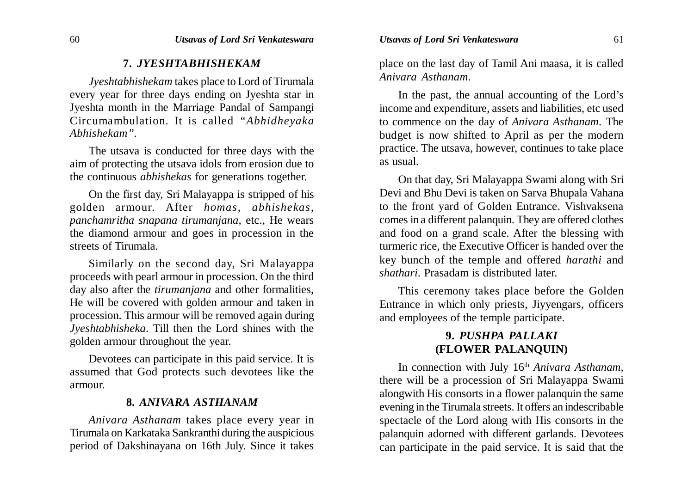# **7.** *JYESHTABHISHEKAM*

*Jyeshtabhishekam* takes place to Lord of Tirumala every year for three days ending on Jyeshta star in Jyeshta month in the Marriage Pandal of Sampangi Circumambulation. It is called *"Abhidheyaka Abhishekam".*

The utsava is conducted for three days with the aim of protecting the utsava idols from erosion due to the continuous *abhishekas* for generations together.

On the first day, Sri Malayappa is stripped of his golden armour. After *homas, abhishekas, panchamritha snapana tirumanjana,* etc., He wears the diamond armour and goes in procession in the streets of Tirumala.

Similarly on the second day, Sri Malayappa proceeds with pearl armour in procession. On the third day also after the *tirumanjana* and other formalities, He will be covered with golden armour and taken in procession. This armour will be removed again during *Jyeshtabhisheka*. Till then the Lord shines with the golden armour throughout the year.

Devotees can participate in this paid service. It is assumed that God protects such devotees like the armour.

# **8.** *ANIVARA ASTHANAM*

*Anivara Asthanam* takes place every year in Tirumala on Karkataka Sankranthi during the auspicious period of Dakshinayana on 16th July. Since it takes place on the last day of Tamil Ani maasa, it is called *Anivara Asthanam*.

In the past, the annual accounting of the Lord's income and expenditure, assets and liabilities, etc used to commence on the day of *Anivara Asthanam*. The budget is now shifted to April as per the modern practice. The utsava, however, continues to take place as usual.

On that day, Sri Malayappa Swami along with Sri Devi and Bhu Devi is taken on Sarva Bhupala Vahana to the front yard of Golden Entrance. Vishvaksena comes in a different palanquin. They are offered clothes and food on a grand scale. After the blessing with turmeric rice, the Executive Officer is handed over the key bunch of the temple and offered *harathi* and *shathari*. Prasadam is distributed later.

This ceremony takes place before the Golden Entrance in which only priests, Jiyyengars, officers and employees of the temple participate.

# **9.** *PUSHPA PALLAKI* **(FLOWER PALANQUIN)**

In connection with July 16<sup>th</sup> *Anivara Asthanam*, there will be a procession of Sri Malayappa Swami alongwith His consorts in a flower palanquin the same evening in the Tirumala streets. It offers an indescribable spectacle of the Lord along with His consorts in the palanquin adorned with different garlands. Devotees can participate in the paid service. It is said that the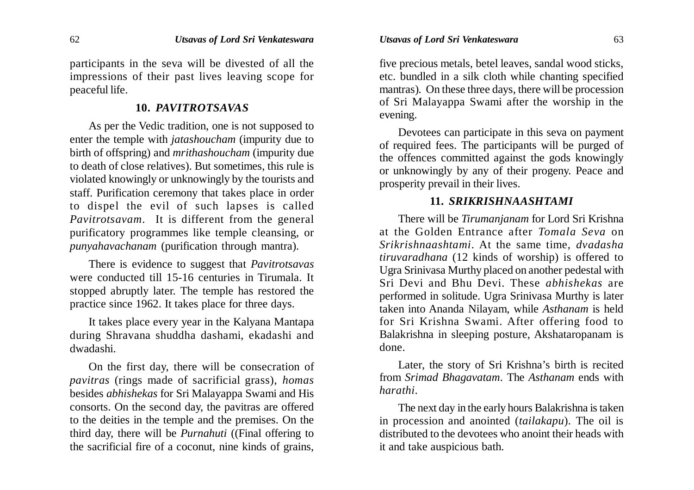participants in the seva will be divested of all the impressions of their past lives leaving scope for peaceful life.

#### **10.** *PAVITROTSAVAS*

As per the Vedic tradition, one is not supposed to enter the temple with *jatashoucham* (impurity due to birth of offspring) and *mrithashoucham* (impurity due to death of close relatives). But sometimes, this rule is violated knowingly or unknowingly by the tourists and staff. Purification ceremony that takes place in order to dispel the evil of such lapses is called *Pavitrotsavam*. It is different from the general purificatory programmes like temple cleansing, or *punyahavachanam* (purification through mantra).

There is evidence to suggest that *Pavitrotsavas* were conducted till 15-16 centuries in Tirumala. It stopped abruptly later. The temple has restored the practice since 1962. It takes place for three days.

It takes place every year in the Kalyana Mantapa during Shravana shuddha dashami, ekadashi and dwadashi.

On the first day, there will be consecration of *pavitras* (rings made of sacrificial grass), *homas* besides *abhishekas* for Sri Malayappa Swami and His consorts. On the second day, the pavitras are offered to the deities in the temple and the premises. On the third day, there will be *Purnahuti* ((Final offering to the sacrificial fire of a coconut, nine kinds of grains,

five precious metals, betel leaves, sandal wood sticks, etc. bundled in a silk cloth while chanting specified mantras). On these three days, there will be procession of Sri Malayappa Swami after the worship in the evening.

Devotees can participate in this seva on payment of required fees. The participants will be purged of the offences committed against the gods knowingly or unknowingly by any of their progeny. Peace and prosperity prevail in their lives.

#### **11.** *SRIKRISHNAASHTAMI*

There will be *Tirumanjanam* for Lord Sri Krishna at the Golden Entrance after *Tomala Seva* on *Srikrishnaashtami*. At the same time, *dvadasha tiruvaradhana* (12 kinds of worship) is offered to Ugra Srinivasa Murthy placed on another pedestal with Sri Devi and Bhu Devi. These *abhishekas* are performed in solitude. Ugra Srinivasa Murthy is later taken into Ananda Nilayam, while *Asthanam* is held for Sri Krishna Swami. After offering food to Balakrishna in sleeping posture, Akshataropanam is done.

Later, the story of Sri Krishna's birth is recited from *Srimad Bhagavatam*. The *Asthanam* ends with *harathi*.

The next day in the early hours Balakrishna is taken in procession and anointed (*tailakapu*). The oil is distributed to the devotees who anoint their heads with it and take auspicious bath.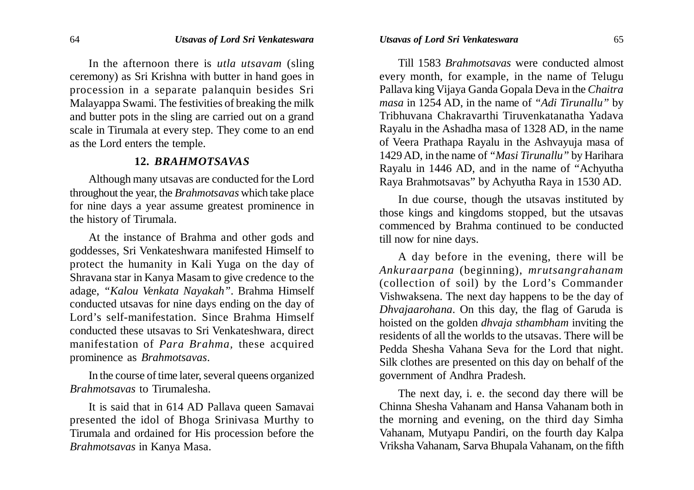In the afternoon there is *utla utsavam* (sling ceremony) as Sri Krishna with butter in hand goes in procession in a separate palanquin besides Sri Malayappa Swami. The festivities of breaking the milk and butter pots in the sling are carried out on a grand scale in Tirumala at every step. They come to an end as the Lord enters the temple.

#### **12.** *BRAHMOTSAVAS*

Although many utsavas are conducted for the Lord throughout the year, the *Brahmotsavas* which take place for nine days a year assume greatest prominence in the history of Tirumala.

At the instance of Brahma and other gods and goddesses, Sri Venkateshwara manifested Himself to protect the humanity in Kali Yuga on the day of Shravana star in Kanya Masam to give credence to the adage, *"Kalou Venkata Nayakah"*. Brahma Himself conducted utsavas for nine days ending on the day of Lord's self-manifestation. Since Brahma Himself conducted these utsavas to Sri Venkateshwara, direct manifestation of *Para Brahma,* these acquired prominence as *Brahmotsavas*.

In the course of time later, several queens organized *Brahmotsavas* to Tirumalesha.

It is said that in 614 AD Pallava queen Samavai presented the idol of Bhoga Srinivasa Murthy to Tirumala and ordained for His procession before the *Brahmotsavas* in Kanya Masa.

Till 1583 *Brahmotsavas* were conducted almost every month, for example, in the name of Telugu Pallava king Vijaya Ganda Gopala Deva in the *Chaitra masa* in 1254 AD, in the name of *"Adi Tirunallu"* by Tribhuvana Chakravarthi Tiruvenkatanatha Yadava Rayalu in the Ashadha masa of 1328 AD, in the name of Veera Prathapa Rayalu in the Ashvayuja masa of 1429 AD, in the name of *"Masi Tirunallu"* by Harihara Rayalu in 1446 AD, and in the name of "Achyutha Raya Brahmotsavas" by Achyutha Raya in 1530 AD.

In due course, though the utsavas instituted by those kings and kingdoms stopped, but the utsavas commenced by Brahma continued to be conducted till now for nine days.

A day before in the evening, there will be *Ankuraarpana* (beginning), *mrutsangrahanam* (collection of soil) by the Lord's Commander Vishwaksena. The next day happens to be the day of *Dhvajaarohana*. On this day, the flag of Garuda is hoisted on the golden *dhvaja sthambham* inviting the residents of all the worlds to the utsavas. There will be Pedda Shesha Vahana Seva for the Lord that night. Silk clothes are presented on this day on behalf of the government of Andhra Pradesh.

The next day, i. e. the second day there will be Chinna Shesha Vahanam and Hansa Vahanam both in the morning and evening, on the third day Simha Vahanam, Mutyapu Pandiri, on the fourth day Kalpa Vriksha Vahanam, Sarva Bhupala Vahanam, on the fifth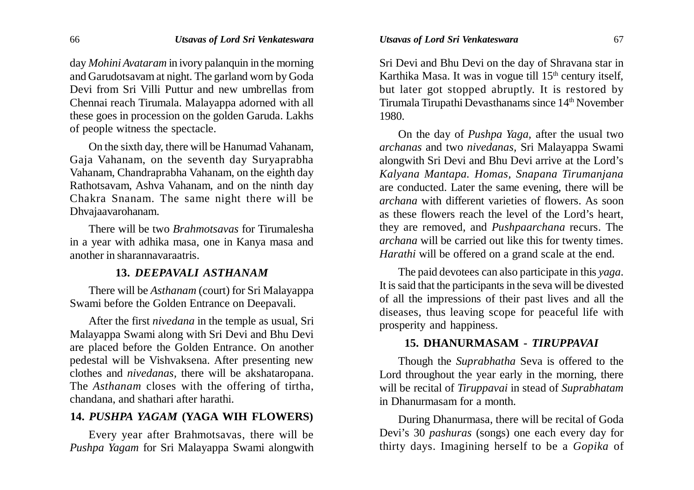day *Mohini Avataram* in ivory palanquin in the morning and Garudotsavam at night. The garland worn by Goda Devi from Sri Villi Puttur and new umbrellas from Chennai reach Tirumala. Malayappa adorned with all these goes in procession on the golden Garuda. Lakhs of people witness the spectacle.

On the sixth day, there will be Hanumad Vahanam, Gaja Vahanam, on the seventh day Suryaprabha Vahanam, Chandraprabha Vahanam, on the eighth day Rathotsavam, Ashva Vahanam, and on the ninth day Chakra Snanam. The same night there will be Dhvajaavarohanam.

There will be two *Brahmotsavas* for Tirumalesha in a year with adhika masa, one in Kanya masa and another in sharannavaraatris.

#### **13.** *DEEPAVALI ASTHANAM*

There will be *Asthanam* (court) for Sri Malayappa Swami before the Golden Entrance on Deepavali.

After the first *nivedana* in the temple as usual, Sri Malayappa Swami along with Sri Devi and Bhu Devi are placed before the Golden Entrance. On another pedestal will be Vishvaksena. After presenting new clothes and *nivedanas,* there will be akshataropana. The *Asthanam* closes with the offering of tirtha, chandana, and shathari after harathi.

### **14.** *PUSHPA YAGAM* **(YAGA WIH FLOWERS)**

Every year after Brahmotsavas, there will be *Pushpa Yagam* for Sri Malayappa Swami alongwith Sri Devi and Bhu Devi on the day of Shravana star in Karthika Masa. It was in vogue till  $15<sup>th</sup>$  century itself, but later got stopped abruptly. It is restored by Tirumala Tirupathi Devasthanams since 14<sup>th</sup> November 1980.

On the day of *Pushpa Yaga,* after the usual two *archanas* and two *nivedanas,* Sri Malayappa Swami alongwith Sri Devi and Bhu Devi arrive at the Lord's *Kalyana Mantapa. Homas, Snapana Tirumanjana* are conducted. Later the same evening, there will be *archana* with different varieties of flowers. As soon as these flowers reach the level of the Lord's heart, they are removed, and *Pushpaarchana* recurs. The *archana* will be carried out like this for twenty times. *Harathi* will be offered on a grand scale at the end.

The paid devotees can also participate in this *yaga*. It is said that the participants in the seva will be divested of all the impressions of their past lives and all the diseases, thus leaving scope for peaceful life with prosperity and happiness.

#### **15. DHANURMASAM -** *TIRUPPAVAI*

Though the *Suprabhatha* Seva is offered to the Lord throughout the year early in the morning, there will be recital of *Tiruppavai* in stead of *Suprabhatam* in Dhanurmasam for a month.

During Dhanurmasa, there will be recital of Goda Devi's 30 *pashuras* (songs) one each every day for thirty days. Imagining herself to be a *Gopika* of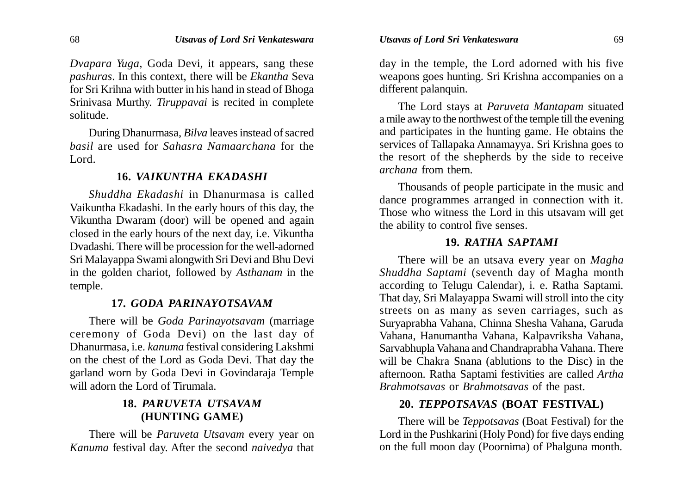*Dvapara Yuga,* Goda Devi, it appears, sang these *pashuras*. In this context, there will be *Ekantha* Seva for Sri Krihna with butter in his hand in stead of Bhoga Srinivasa Murthy. *Tiruppavai* is recited in complete solitude.

During Dhanurmasa, *Bilva* leaves instead of sacred *basil* are used for *Sahasra Namaarchana* for the Lord.

### **16.** *VAIKUNTHA EKADASHI*

*Shuddha Ekadashi* in Dhanurmasa is called Vaikuntha Ekadashi. In the early hours of this day, the Vikuntha Dwaram (door) will be opened and again closed in the early hours of the next day, i.e. Vikuntha Dvadashi. There will be procession for the well-adorned Sri Malayappa Swami alongwith Sri Devi and Bhu Devi in the golden chariot, followed by *Asthanam* in the temple.

# **17.** *GODA PARINAYOTSAVAM*

There will be *Goda Parinayotsavam* (marriage ceremony of Goda Devi) on the last day of Dhanurmasa, i.e. *kanuma* festival considering Lakshmi on the chest of the Lord as Goda Devi. That day the garland worn by Goda Devi in Govindaraja Temple will adorn the Lord of Tirumala.

# **18.** *PARUVETA UTSAVAM* **(HUNTING GAME)**

There will be *Paruveta Utsavam* every year on *Kanuma* festival day. After the second *naivedya* that day in the temple, the Lord adorned with his five weapons goes hunting. Sri Krishna accompanies on a different palanquin.

The Lord stays at *Paruveta Mantapam* situated a mile away to the northwest of the temple till the evening and participates in the hunting game. He obtains the services of Tallapaka Annamayya. Sri Krishna goes to the resort of the shepherds by the side to receive *archana* from them.

Thousands of people participate in the music and dance programmes arranged in connection with it. Those who witness the Lord in this utsavam will get the ability to control five senses.

#### **19.** *RATHA SAPTAMI*

There will be an utsava every year on *Magha Shuddha Saptami* (seventh day of Magha month according to Telugu Calendar), i. e. Ratha Saptami. That day, Sri Malayappa Swami will stroll into the city streets on as many as seven carriages, such as Suryaprabha Vahana, Chinna Shesha Vahana, Garuda Vahana, Hanumantha Vahana, Kalpavriksha Vahana, Sarvabhupla Vahana and Chandraprabha Vahana. There will be Chakra Snana (ablutions to the Disc) in the afternoon. Ratha Saptami festivities are called *Artha Brahmotsavas* or *Brahmotsavas* of the past.

### **20.** *TEPPOTSAVAS* **(BOAT FESTIVAL)**

There will be *Teppotsavas* (Boat Festival) for the Lord in the Pushkarini (Holy Pond) for five days ending on the full moon day (Poornima) of Phalguna month.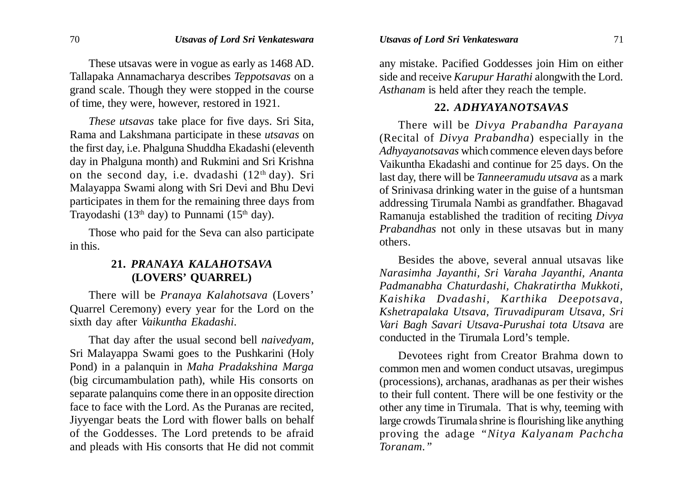These utsavas were in vogue as early as 1468 AD. Tallapaka Annamacharya describes *Teppotsavas* on a grand scale. Though they were stopped in the course of time, they were, however, restored in 1921.

*These utsavas* take place for five days. Sri Sita, Rama and Lakshmana participate in these *utsavas* on the first day, i.e. Phalguna Shuddha Ekadashi (eleventh day in Phalguna month) and Rukmini and Sri Krishna on the second day, i.e. dvadashi  $(12<sup>th</sup> \, \text{day})$ . Sri Malayappa Swami along with Sri Devi and Bhu Devi participates in them for the remaining three days from Trayodashi (13<sup>th</sup> day) to Punnami (15<sup>th</sup> day).

Those who paid for the Seva can also participate in this.

# **21.** *PRANAYA KALAHOTSAVA* **(LOVERS' QUARREL)**

There will be *Pranaya Kalahotsava* (Lovers' Quarrel Ceremony) every year for the Lord on the sixth day after *Vaikuntha Ekadashi*.

That day after the usual second bell *naivedyam,* Sri Malayappa Swami goes to the Pushkarini (Holy Pond) in a palanquin in *Maha Pradakshina Marga* (big circumambulation path), while His consorts on separate palanquins come there in an opposite direction face to face with the Lord. As the Puranas are recited, Jiyyengar beats the Lord with flower balls on behalf of the Goddesses. The Lord pretends to be afraid and pleads with His consorts that He did not commit

any mistake. Pacified Goddesses join Him on either side and receive *Karupur Harathi* alongwith the Lord. *Asthanam* is held after they reach the temple.

#### **22.** *ADHYAYANOTSAVAS*

There will be *Divya Prabandha Parayana* (Recital of *Divya Prabandha*) especially in the *Adhyayanotsavas* which commence eleven days before Vaikuntha Ekadashi and continue for 25 days. On the last day, there will be *Tanneeramudu utsava* as a mark of Srinivasa drinking water in the guise of a huntsman addressing Tirumala Nambi as grandfather. Bhagavad Ramanuja established the tradition of reciting *Divya Prabandhas* not only in these utsavas but in many others.

Besides the above, several annual utsavas like *Narasimha Jayanthi, Sri Varaha Jayanthi, Ananta Padmanabha Chaturdashi, Chakratirtha Mukkoti, Kaishika Dvadashi, Karthika Deepotsava, Kshetrapalaka Utsava, Tiruvadipuram Utsava, Sri Vari Bagh Savari Utsava-Purushai tota Utsava* are conducted in the Tirumala Lord's temple.

Devotees right from Creator Brahma down to common men and women conduct utsavas, uregimpus (processions), archanas, aradhanas as per their wishes to their full content. There will be one festivity or the other any time in Tirumala. That is why, teeming with large crowds Tirumala shrine is flourishing like anything proving the adage *"Nitya Kalyanam Pachcha Toranam."*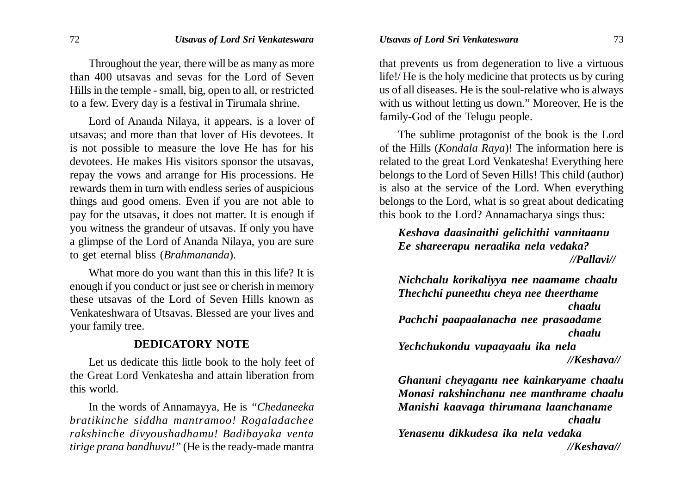Throughout the year, there will be as many as more than 400 utsavas and sevas for the Lord of Seven Hills in the temple - small, big, open to all, or restricted to a few. Every day is a festival in Tirumala shrine.

Lord of Ananda Nilaya, it appears, is a lover of utsavas; and more than that lover of His devotees. It is not possible to measure the love He has for his devotees. He makes His visitors sponsor the utsavas, repay the vows and arrange for His processions. He rewards them in turn with endless series of auspicious things and good omens. Even if you are not able to pay for the utsavas, it does not matter. It is enough if you witness the grandeur of utsavas. If only you have a glimpse of the Lord of Ananda Nilaya, you are sure to get eternal bliss (*Brahmananda*).

What more do you want than this in this life? It is enough if you conduct or just see or cherish in memory these utsavas of the Lord of Seven Hills known as Venkateshwara of Utsavas. Blessed are your lives and your family tree.

# **DEDICATORY NOTE**

Let us dedicate this little book to the holy feet of the Great Lord Venkatesha and attain liberation from this world.

In the words of Annamayya, He is *"Chedaneeka bratikinche siddha mantramoo! Rogaladachee rakshinche divyoushadhamu! Badibayaka venta tirige prana bandhuvu!"* (He is the ready-made mantra that prevents us from degeneration to live a virtuous life!/ He is the holy medicine that protects us by curing us of all diseases. He is the soul-relative who is always with us without letting us down." Moreover, He is the family-God of the Telugu people.

The sublime protagonist of the book is the Lord of the Hills (*Kondala Raya*)! The information here is related to the great Lord Venkatesha! Everything here belongs to the Lord of Seven Hills! This child (author) is also at the service of the Lord. When everything belongs to the Lord, what is so great about dedicating this book to the Lord? Annamacharya sings thus:

# *Keshava daasinaithi gelichithi vannitaanu Ee shareerapu neraalika nela vedaka? //Pallavi//*

*Nichchalu korikaliyya nee naamame chaalu Thechchi puneethu cheya nee theerthame chaalu Pachchi paapaalanacha nee prasaadame chaalu Yechchukondu vupaayaalu ika nela //Keshava//*

*Ghanuni cheyaganu nee kainkaryame chaalu Monasi rakshinchanu nee manthrame chaalu Manishi kaavaga thirumana laanchaname chaalu Yenasenu dikkudesa ika nela vedaka //Keshava//*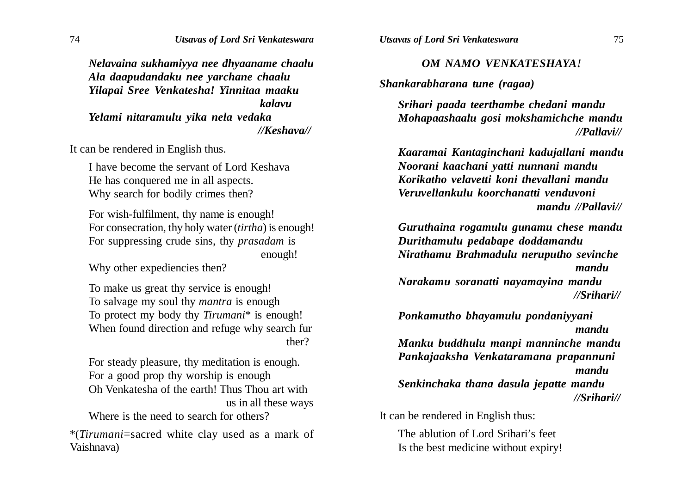*Nelavaina sukhamiyya nee dhyaaname chaalu Ala daapudandaku nee yarchane chaalu Yilapai Sree Venkatesha! Yinnitaa maaku kalavu Yelami nitaramulu yika nela vedaka //Keshava//*

It can be rendered in English thus.

I have become the servant of Lord Keshava He has conquered me in all aspects. Why search for bodily crimes then?

For wish-fulfilment, thy name is enough! For consecration, thy holy water (*tirtha*) is enough! For suppressing crude sins, thy *prasadam* is enough!

Why other expediencies then?

To make us great thy service is enough! To salvage my soul thy *mantra* is enough To protect my body thy *Tirumani*\* is enough! When found direction and refuge why search fur ther?

For steady pleasure, thy meditation is enough. For a good prop thy worship is enough Oh Venkatesha of the earth! Thus Thou art with us in all these ways Where is the need to search for others?

\*(*Tirumani*=sacred white clay used as a mark of Vaishnava)

*OM NAMO VENKATESHAYA!*

*Shankarabharana tune (ragaa)*

*Srihari paada teerthambe chedani mandu Mohapaashaalu gosi mokshamichche mandu //Pallavi//*

*Kaaramai Kantaginchani kadujallani mandu Noorani kaachani yatti nunnani mandu Korikatho velavetti koni thevallani mandu Veruvellankulu koorchanatti venduvoni mandu //Pallavi//*

*Guruthaina rogamulu gunamu chese mandu Durithamulu pedabape doddamandu Nirathamu Brahmadulu neruputho sevinche mandu Narakamu soranatti nayamayina mandu*

 *//Srihari// Ponkamutho bhayamulu pondaniyyani mandu*

*Manku buddhulu manpi manninche mandu Pankajaaksha Venkataramana prapannuni mandu Senkinchaka thana dasula jepatte mandu*

 *//Srihari//*

It can be rendered in English thus:

The ablution of Lord Srihari's feet Is the best medicine without expiry!